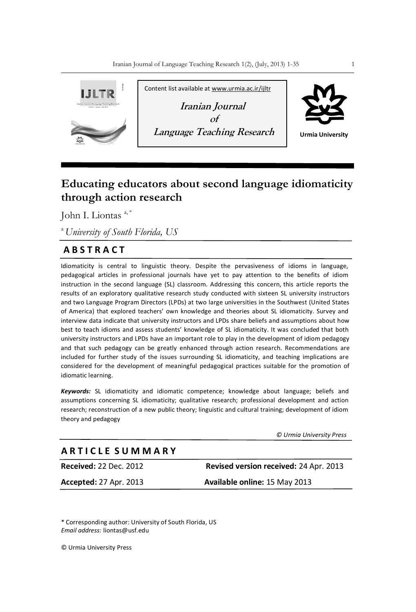

# **Educating educators about second language idiomaticity through action research**

John I. Liontas a, \*

<sup>a</sup>*University of South Florida, US*

# **A B S T R A C T**

Idiomaticity is central to linguistic theory. Despite the pervasiveness of idioms in language, pedagogical articles in professional journals have yet to pay attention to the benefits of idiom instruction in the second language (SL) classroom. Addressing this concern, this article reports the results of an exploratory qualitative research study conducted with sixteen SL university instructors and two Language Program Directors (LPDs) at two large universities in the Southwest (United States of America) that explored teachers' own knowledge and theories about SL idiomaticity. Survey and interview data indicate that university instructors and LPDs share beliefs and assumptions about how best to teach idioms and assess students' knowledge of SL idiomaticity. It was concluded that both university instructors and LPDs have an important role to play in the development of idiom pedagogy and that such pedagogy can be greatly enhanced through action research. Recommendations are included for further study of the issues surrounding SL idiomaticity, and teaching implications are considered for the development of meaningful pedagogical practices suitable for the promotion of idiomatic learning.

*Keywords:* SL idiomaticity and idiomatic competence; knowledge about language; beliefs and assumptions concerning SL idiomaticity; qualitative research; professional development and action research; reconstruction of a new public theory; linguistic and cultural training; development of idiom theory and pedagogy

 *© Urmia University Press*

# **A R T I C L E S U M M A R Y**

**Received:** 22 Dec. 2012 **Revised version received:** 24 Apr. 2013 **Accepted:** 27 Apr. 2013 **Available online:** 15 May 2013

\* Corresponding author: University of South Florida, US *Email address:* liontas@usf.edu

© Urmia University Press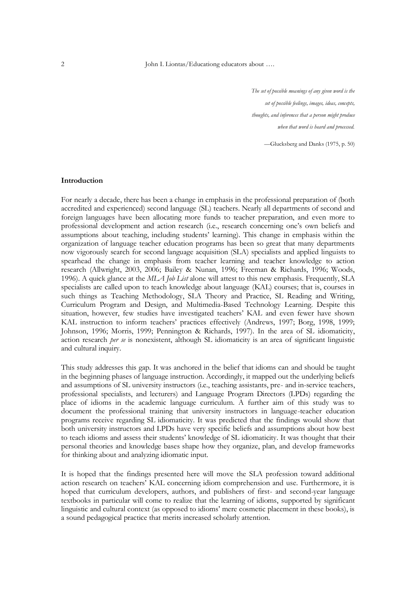*The set of possible meanings of any given word is the set of possible feelings, images, ideas, concepts, thoughts, and inferences that a person might produce when that word is heard and processed.*

—Glucksberg and Danks (1975, p. 50)

#### **Introduction**

For nearly a decade, there has been a change in emphasis in the professional preparation of (both accredited and experienced) second language (SL) teachers. Nearly all departments of second and foreign languages have been allocating more funds to teacher preparation, and even more to professional development and action research (i.e., research concerning one's own beliefs and assumptions about teaching, including students' learning). This change in emphasis within the organization of language teacher education programs has been so great that many departments now vigorously search for second language acquisition (SLA) specialists and applied linguists to spearhead the change in emphasis from teacher learning and teacher knowledge to action research (Allwright, 2003, 2006; Bailey & Nunan, 1996; Freeman & Richards, 1996; Woods, 1996). A quick glance at the *MLA Job List* alone will attest to this new emphasis. Frequently, SLA specialists are called upon to teach knowledge about language (KAL) courses; that is, courses in such things as Teaching Methodology, SLA Theory and Practice, SL Reading and Writing, Curriculum Program and Design, and Multimedia-Based Technology Learning. Despite this situation, however, few studies have investigated teachers' KAL and even fewer have shown KAL instruction to inform teachers' practices effectively (Andrews, 1997; Borg, 1998, 1999; Johnson, 1996; Morris, 1999; Pennington & Richards, 1997). In the area of SL idiomaticity, action research *per se* is nonexistent, although SL idiomaticity is an area of significant linguistic and cultural inquiry.

This study addresses this gap. It was anchored in the belief that idioms can and should be taught in the beginning phases of language instruction. Accordingly, it mapped out the underlying beliefs and assumptions of SL university instructors (i.e., teaching assistants, pre- and in-service teachers, professional specialists, and lecturers) and Language Program Directors (LPDs) regarding the place of idioms in the academic language curriculum. A further aim of this study was to document the professional training that university instructors in language-teacher education programs receive regarding SL idiomaticity. It was predicted that the findings would show that both university instructors and LPDs have very specific beliefs and assumptions about how best to teach idioms and assess their students' knowledge of SL idiomaticity. It was thought that their personal theories and knowledge bases shape how they organize, plan, and develop frameworks for thinking about and analyzing idiomatic input.

It is hoped that the findings presented here will move the SLA profession toward additional action research on teachers' KAL concerning idiom comprehension and use. Furthermore, it is hoped that curriculum developers, authors, and publishers of first- and second-year language textbooks in particular will come to realize that the learning of idioms, supported by significant linguistic and cultural context (as opposed to idioms' mere cosmetic placement in these books), is a sound pedagogical practice that merits increased scholarly attention.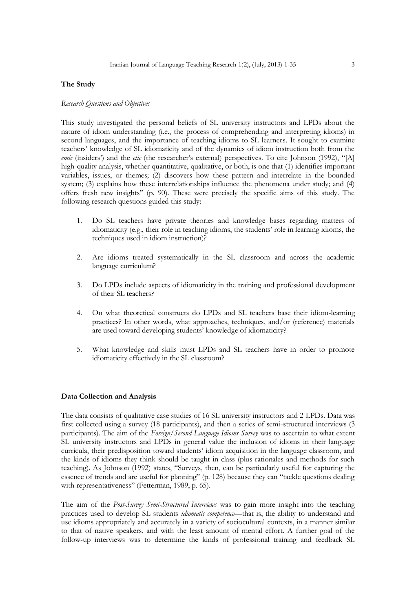### **The Study**

#### *Research Questions and Objectives*

This study investigated the personal beliefs of SL university instructors and LPDs about the nature of idiom understanding (i.e., the process of comprehending and interpreting idioms) in second languages, and the importance of teaching idioms to SL learners. It sought to examine teachers' knowledge of SL idiomaticity and of the dynamics of idiom instruction both from the *emic* (insiders') and the *etic* (the researcher's external) perspectives. To cite Johnson (1992), "[A] high-quality analysis, whether quantitative, qualitative, or both, is one that (1) identifies important variables, issues, or themes; (2) discovers how these pattern and interrelate in the bounded system; (3) explains how these interrelationships influence the phenomena under study; and (4) offers fresh new insights‖ (p. 90). These were precisely the specific aims of this study. The following research questions guided this study:

- 1. Do SL teachers have private theories and knowledge bases regarding matters of idiomaticity (e.g., their role in teaching idioms, the students' role in learning idioms, the techniques used in idiom instruction)?
- 2. Are idioms treated systematically in the SL classroom and across the academic language curriculum?
- 3. Do LPDs include aspects of idiomaticity in the training and professional development of their SL teachers?
- 4. On what theoretical constructs do LPDs and SL teachers base their idiom-learning practices? In other words, what approaches, techniques, and/or (reference) materials are used toward developing students' knowledge of idiomaticity?
- 5. What knowledge and skills must LPDs and SL teachers have in order to promote idiomaticity effectively in the SL classroom?

#### **Data Collection and Analysis**

The data consists of qualitative case studies of 16 SL university instructors and 2 LPDs. Data was first collected using a survey (18 participants), and then a series of semi-structured interviews (3 participants). The aim of the *Foreign/Second Language Idioms Survey* was to ascertain to what extent SL university instructors and LPDs in general value the inclusion of idioms in their language curricula, their predisposition toward students' idiom acquisition in the language classroom, and the kinds of idioms they think should be taught in class (plus rationales and methods for such teaching). As Johnson (1992) states, "Surveys, then, can be particularly useful for capturing the essence of trends and are useful for planning" (p. 128) because they can "tackle questions dealing with representativeness" (Fetterman, 1989, p. 65).

The aim of the *Post-Survey Semi-Structured Interviews* was to gain more insight into the teaching practices used to develop SL students *idiomatic competence*—that is, the ability to understand and use idioms appropriately and accurately in a variety of sociocultural contexts, in a manner similar to that of native speakers, and with the least amount of mental effort. A further goal of the follow-up interviews was to determine the kinds of professional training and feedback SL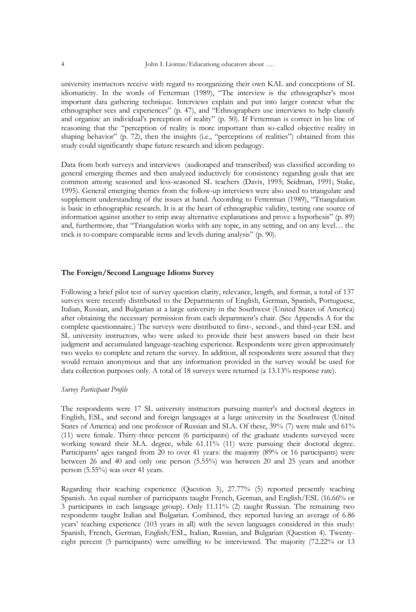university instructors receive with regard to reorganizing their own KAL and conceptions of SL idiomaticity. In the words of Fetterman (1989), "The interview is the ethnographer's most important data gathering technique. Interviews explain and put into larger context what the ethnographer sees and experiences" (p. 47), and "Ethnographers use interviews to help classify and organize an individual's perception of reality" (p. 50). If Fetterman is correct in his line of reasoning that the "perception of reality is more important than so-called objective reality in shaping behavior" (p. 72), then the insights (i.e., "perceptions of realities") obtained from this study could significantly shape future research and idiom pedagogy.

Data from both surveys and interviews (audiotaped and transcribed) was classified according to general emerging themes and then analyzed inductively for consistency regarding goals that are common among seasoned and less-seasoned SL teachers (Davis, 1995; Seidman, 1991; Stake, 1995). General emerging themes from the follow-up interviews were also used to triangulate and supplement understanding of the issues at hand. According to Fetterman (1989), "Triangulation is basic in ethnographic research. It is at the heart of ethnographic validity, testing one source of information against another to strip away alternative explanations and prove a hypothesis" (p. 89) and, furthermore, that "Triangulation works with any topic, in any setting, and on any level... the trick is to compare comparable items and levels during analysis" (p. 90).

#### **The Foreign/Second Language Idioms Survey**

Following a brief pilot test of survey question clarity, relevance, length, and format, a total of 137 surveys were recently distributed to the Departments of English, German, Spanish, Portuguese, Italian, Russian, and Bulgarian at a large university in the Southwest (United States of America) after obtaining the necessary permission from each department's chair. (See Appendix A for the complete questionnaire.) The surveys were distributed to first-, second-, and third-year ESL and SL university instructors, who were asked to provide their best answers based on their best judgment and accumulated language-teaching experience. Respondents were given approximately two weeks to complete and return the survey. In addition, all respondents were assured that they would remain anonymous and that any information provided in the survey would be used for data collection purposes only. A total of 18 surveys were returned (a 13.13% response rate).

#### *Survey Participant Profile*

The respondents were 17 SL university instructors pursuing master's and doctoral degrees in English, ESL, and second and foreign languages at a large university in the Southwest (United States of America) and one professor of Russian and SLA. Of these, 39% (7) were male and 61% (11) were female. Thirty-three percent (6 participants) of the graduate students surveyed were working toward their M.A. degree, while 61.11% (11) were pursuing their doctoral degree. Participants' ages ranged from 20 to over 41 years: the majority (89% or 16 participants) were between 26 and 40 and only one person (5.55%) was between 20 and 25 years and another person (5.55%) was over 41 years.

Regarding their teaching experience (Question 3), 27.77% (5) reported presently teaching Spanish. An equal number of participants taught French, German, and English/ESL (16.66% or 3 participants in each language group). Only 11.11% (2) taught Russian. The remaining two respondents taught Italian and Bulgarian. Combined, they reported having an average of 6.86 years' teaching experience (103 years in all) with the seven languages considered in this study: Spanish, French, German, English/ESL, Italian, Russian, and Bulgarian (Question 4). Twentyeight percent (5 participants) were unwilling to be interviewed. The majority (72.22% or 13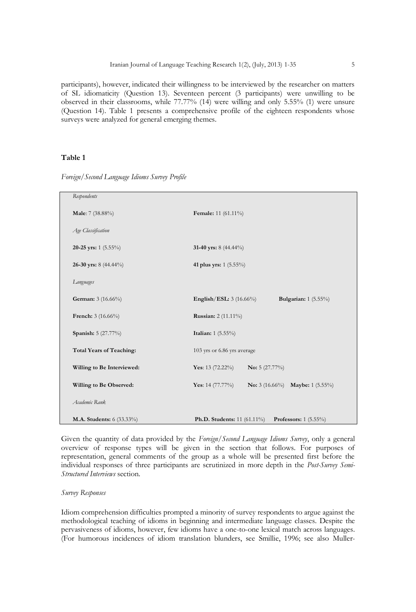participants), however, indicated their willingness to be interviewed by the researcher on matters of SL idiomaticity (Question 13). Seventeen percent (3 participants) were unwilling to be observed in their classrooms, while 77.77% (14) were willing and only 5.55% (1) were unsure (Question 14). Table 1 presents a comprehensive profile of the eighteen respondents whose surveys were analyzed for general emerging themes.

# **Table 1**

| Respondents                     |                                                                    |
|---------------------------------|--------------------------------------------------------------------|
| Male: 7 (38.88%)                | Female: 11 (61.11%)                                                |
| Age Classification              |                                                                    |
| 20-25 yrs: $1(5.55\%)$          | 31-40 yrs: $8(44.44\%)$                                            |
| 26-30 yrs: $8(44.44\%)$         | 41 plus yrs: 1 (5.55%)                                             |
| Languages                       |                                                                    |
| German: 3 (16.66%)              | Bulgarian: $1(5.55\%)$<br><b>English/ESL:</b> $3(16.66\%)$         |
| French: 3 (16.66%)              | <b>Russian:</b> 2 (11.11%)                                         |
| Spanish: 5 (27.77%)             | Italian: 1 (5.55%)                                                 |
| <b>Total Years of Teaching:</b> | 103 yrs or 6.86 yrs average                                        |
| Willing to Be Interviewed:      | Yes: 13 $(72.22\%)$<br><b>No:</b> 5 $(27.77%)$                     |
| Willing to Be Observed:         | Yes: $14(77.77%)$<br><b>No:</b> 3 (16.66%) <b>Maybe:</b> 1 (5.55%) |
| Academic Rank                   |                                                                    |
| M.A. Students: 6 (33.33%)       | <b>Ph.D.</b> Students: $11(61.11\%)$<br>Professors: $1(5.55\%)$    |

*Foreign/Second Language Idioms Survey Profile*

Given the quantity of data provided by the *Foreign/Second Language Idioms Survey*, only a general overview of response types will be given in the section that follows. For purposes of representation, general comments of the group as a whole will be presented first before the individual responses of three participants are scrutinized in more depth in the *Post-Survey Semi-Structured Interviews* section.

#### *Survey Responses*

Idiom comprehension difficulties prompted a minority of survey respondents to argue against the methodological teaching of idioms in beginning and intermediate language classes. Despite the pervasiveness of idioms, however, few idioms have a one-to-one lexical match across languages. (For humorous incidences of idiom translation blunders, see Smillie, 1996; see also Muller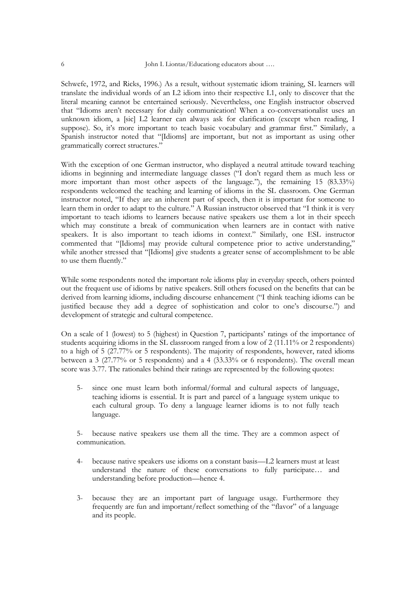Schwefe, 1972, and Ricks, 1996.) As a result, without systematic idiom training, SL learners will translate the individual words of an L2 idiom into their respective L1, only to discover that the literal meaning cannot be entertained seriously. Nevertheless, one English instructor observed that "Idioms aren't necessary for daily communication! When a co-conversationalist uses an unknown idiom, a [sic] L2 learner can always ask for clarification (except when reading, I suppose). So, it's more important to teach basic vocabulary and grammar first." Similarly, a Spanish instructor noted that "Ildioms] are important, but not as important as using other grammatically correct structures."

With the exception of one German instructor, who displayed a neutral attitude toward teaching idioms in beginning and intermediate language classes ("I don't regard them as much less or more important than most other aspects of the language."), the remaining 15 (83.33%) respondents welcomed the teaching and learning of idioms in the SL classroom. One German instructor noted, "If they are an inherent part of speech, then it is important for someone to learn them in order to adapt to the culture." A Russian instructor observed that "I think it is very important to teach idioms to learners because native speakers use them a lot in their speech which may constitute a break of communication when learners are in contact with native speakers. It is also important to teach idioms in context." Similarly, one ESL instructor commented that "[Idioms] may provide cultural competence prior to active understanding," while another stressed that "[Idioms] give students a greater sense of accomplishment to be able to use them fluently."

While some respondents noted the important role idioms play in everyday speech, others pointed out the frequent use of idioms by native speakers. Still others focused on the benefits that can be derived from learning idioms, including discourse enhancement ("I think teaching idioms can be justified because they add a degree of sophistication and color to one's discourse.") and development of strategic and cultural competence.

On a scale of 1 (lowest) to 5 (highest) in Question 7, participants' ratings of the importance of students acquiring idioms in the SL classroom ranged from a low of 2 (11.11% or 2 respondents) to a high of 5 (27.77% or 5 respondents). The majority of respondents, however, rated idioms between a 3 (27.77% or 5 respondents) and a 4 (33.33% or 6 respondents). The overall mean score was 3.77. The rationales behind their ratings are represented by the following quotes:

5- since one must learn both informal/formal and cultural aspects of language, teaching idioms is essential. It is part and parcel of a language system unique to each cultural group. To deny a language learner idioms is to not fully teach language.

5- because native speakers use them all the time. They are a common aspect of communication.

- 4- because native speakers use idioms on a constant basis—L2 learners must at least understand the nature of these conversations to fully participate… and understanding before production—hence 4.
- 3- because they are an important part of language usage. Furthermore they frequently are fun and important/reflect something of the "flavor" of a language and its people.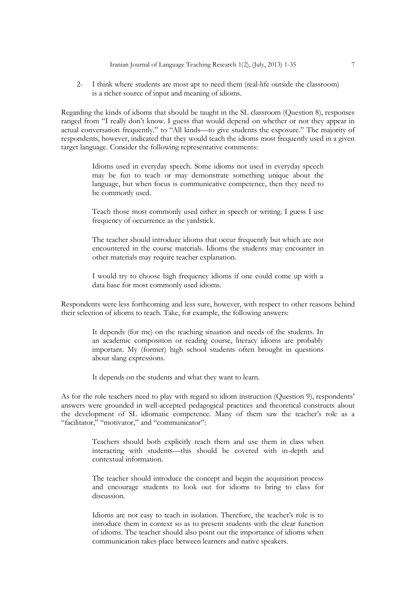2- I think where students are most apt to need them (real-life outside the classroom) is a richer source of input and meaning of idioms.

Regarding the kinds of idioms that should be taught in the SL classroom (Question 8), responses ranged from "I really don't know. I guess that would depend on whether or not they appear in actual conversation frequently." to "All kinds—to give students the exposure." The majority of respondents, however, indicated that they would teach the idioms most frequently used in a given target language. Consider the following representative comments:

> Idioms used in everyday speech. Some idioms not used in everyday speech may be fun to teach or may demonstrate something unique about the language, but when focus is communicative competence, then they need to be commonly used.

> Teach those most commonly used either in speech or writing. I guess I use frequency of occurrence as the yardstick.

> The teacher should introduce idioms that occur frequently but which are not encountered in the course materials. Idioms the students may encounter in other materials may require teacher explanation.

> I would try to choose high frequency idioms if one could come up with a data base for most commonly used idioms.

Respondents were less forthcoming and less sure, however, with respect to other reasons behind their selection of idioms to teach. Take, for example, the following answers:

> It depends (for me) on the teaching situation and needs of the students. In an academic composition or reading course, literacy idioms are probably important. My (former) high school students often brought in questions about slang expressions.

It depends on the students and what they want to learn.

As for the role teachers need to play with regard to idiom instruction (Question 9), respondents' answers were grounded in well-accepted pedagogical practices and theoretical constructs about the development of SL idiomatic competence. Many of them saw the teacher's role as a "facilitator," "motivator," and "communicator":

> Teachers should both explicitly teach them and use them in class when interacting with students—this should be covered with in-depth and contextual information.

> The teacher should introduce the concept and begin the acquisition process and encourage students to look out for idioms to bring to class for discussion.

> Idioms are not easy to teach in isolation. Therefore, the teacher's role is to introduce them in context so as to present students with the clear function of idioms. The teacher should also point out the importance of idioms when communication takes place between learners and native speakers.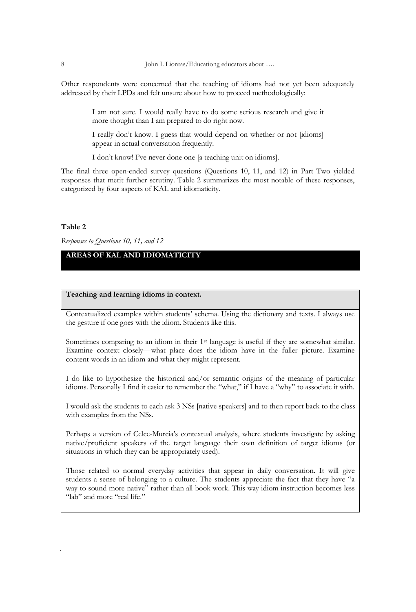Other respondents were concerned that the teaching of idioms had not yet been adequately addressed by their LPDs and felt unsure about how to proceed methodologically:

> I am not sure. I would really have to do some serious research and give it more thought than I am prepared to do right now.

> I really don't know. I guess that would depend on whether or not [idioms] appear in actual conversation frequently.

I don't know! I've never done one [a teaching unit on idioms].

The final three open-ended survey questions (Questions 10, 11, and 12) in Part Two yielded responses that merit further scrutiny. Table 2 summarizes the most notable of these responses, categorized by four aspects of KAL and idiomaticity.

#### **Table 2**

*Responses to Questions 10, 11, and 12*

# **AREAS OF KAL AND IDIOMATICITY**

# **Teaching and learning idioms in context.**

Contextualized examples within students' schema. Using the dictionary and texts. I always use the gesture if one goes with the idiom. Students like this.

Sometimes comparing to an idiom in their 1<sup>st</sup> language is useful if they are somewhat similar. Examine context closely—what place does the idiom have in the fuller picture. Examine content words in an idiom and what they might represent.

I do like to hypothesize the historical and/or semantic origins of the meaning of particular idioms. Personally I find it easier to remember the "what," if I have a "why" to associate it with.

I would ask the students to each ask 3 NSs [native speakers] and to then report back to the class with examples from the NSs.

Perhaps a version of Celce-Murcia's contextual analysis, where students investigate by asking native/proficient speakers of the target language their own definition of target idioms (or situations in which they can be appropriately used).

Those related to normal everyday activities that appear in daily conversation. It will give students a sense of belonging to a culture. The students appreciate the fact that they have "a way to sound more native" rather than all book work. This way idiom instruction becomes less "lab" and more "real life."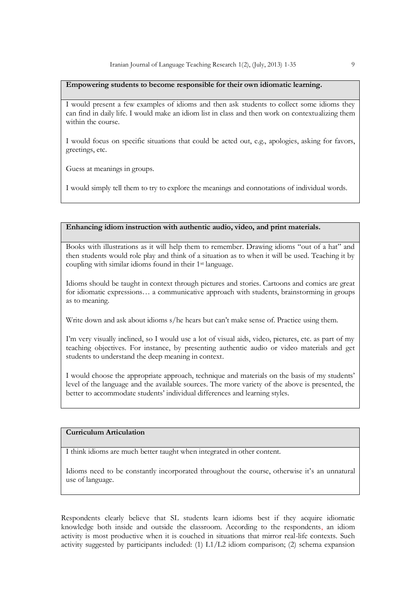#### **Empowering students to become responsible for their own idiomatic learning.**

I would present a few examples of idioms and then ask students to collect some idioms they can find in daily life. I would make an idiom list in class and then work on contextualizing them within the course.

I would focus on specific situations that could be acted out, e.g., apologies, asking for favors, greetings, etc.

Guess at meanings in groups.

I would simply tell them to try to explore the meanings and connotations of individual words.

# **Enhancing idiom instruction with authentic audio, video, and print materials.**

Books with illustrations as it will help them to remember. Drawing idioms "out of a hat" and then students would role play and think of a situation as to when it will be used. Teaching it by coupling with similar idioms found in their 1st language.

Idioms should be taught in context through pictures and stories. Cartoons and comics are great for idiomatic expressions… a communicative approach with students, brainstorming in groups as to meaning.

Write down and ask about idioms s/he hears but can't make sense of. Practice using them.

I'm very visually inclined, so I would use a lot of visual aids, video, pictures, etc. as part of my teaching objectives. For instance, by presenting authentic audio or video materials and get students to understand the deep meaning in context.

I would choose the appropriate approach, technique and materials on the basis of my students' level of the language and the available sources. The more variety of the above is presented, the better to accommodate students' individual differences and learning styles.

# **Curriculum Articulation**

I think idioms are much better taught when integrated in other content.

Idioms need to be constantly incorporated throughout the course, otherwise it's an unnatural use of language.

Respondents clearly believe that SL students learn idioms best if they acquire idiomatic knowledge both inside and outside the classroom. According to the respondents, an idiom activity is most productive when it is couched in situations that mirror real-life contexts. Such activity suggested by participants included: (1)  $L1/L2$  idiom comparison; (2) schema expansion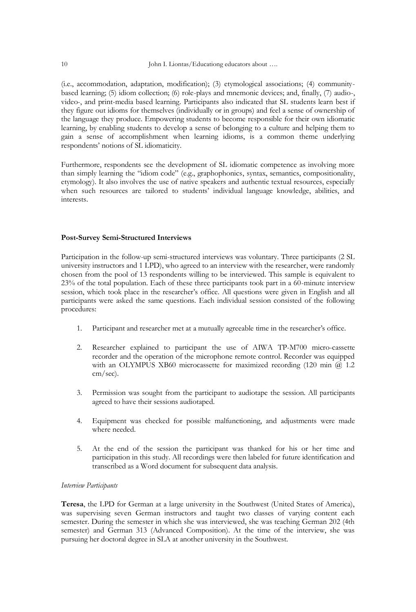(i.e., accommodation, adaptation, modification); (3) etymological associations; (4) communitybased learning; (5) idiom collection; (6) role-plays and mnemonic devices; and, finally, (7) audio-, video-, and print-media based learning. Participants also indicated that SL students learn best if they figure out idioms for themselves (individually or in groups) and feel a sense of ownership of the language they produce. Empowering students to become responsible for their own idiomatic learning, by enabling students to develop a sense of belonging to a culture and helping them to gain a sense of accomplishment when learning idioms, is a common theme underlying respondents' notions of SL idiomaticity.

Furthermore, respondents see the development of SL idiomatic competence as involving more than simply learning the "idiom code" (e.g., graphophonics, syntax, semantics, compositionality, etymology). It also involves the use of native speakers and authentic textual resources, especially when such resources are tailored to students' individual language knowledge, abilities, and interests.

#### **Post-Survey Semi-Structured Interviews**

Participation in the follow-up semi-structured interviews was voluntary. Three participants (2 SL university instructors and 1 LPD), who agreed to an interview with the researcher, were randomly chosen from the pool of 13 respondents willing to be interviewed. This sample is equivalent to 23% of the total population. Each of these three participants took part in a 60-minute interview session, which took place in the researcher's office. All questions were given in English and all participants were asked the same questions. Each individual session consisted of the following procedures:

- 1. Participant and researcher met at a mutually agreeable time in the researcher's office.
- 2. Researcher explained to participant the use of AIWA TP-M700 micro-cassette recorder and the operation of the microphone remote control. Recorder was equipped with an OLYMPUS XB60 microcassette for maximized recording (120 min @ 1.2 cm/sec).
- 3. Permission was sought from the participant to audiotape the session. All participants agreed to have their sessions audiotaped.
- 4. Equipment was checked for possible malfunctioning, and adjustments were made where needed.
- 5. At the end of the session the participant was thanked for his or her time and participation in this study. All recordings were then labeled for future identification and transcribed as a Word document for subsequent data analysis.

#### *Interview Participants*

**Teresa**, the LPD for German at a large university in the Southwest (United States of America), was supervising seven German instructors and taught two classes of varying content each semester. During the semester in which she was interviewed, she was teaching German 202 (4th semester) and German 313 (Advanced Composition). At the time of the interview, she was pursuing her doctoral degree in SLA at another university in the Southwest.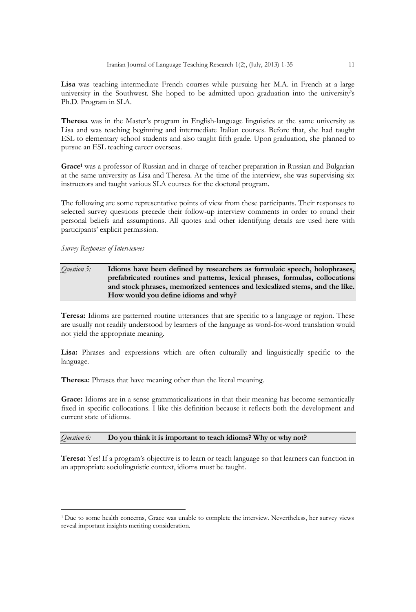**Lisa** was teaching intermediate French courses while pursuing her M.A. in French at a large university in the Southwest. She hoped to be admitted upon graduation into the university's Ph.D. Program in SLA.

**Theresa** was in the Master's program in English-language linguistics at the same university as Lisa and was teaching beginning and intermediate Italian courses. Before that, she had taught ESL to elementary school students and also taught fifth grade. Upon graduation, she planned to pursue an ESL teaching career overseas.

**Grace<sup>1</sup>** was a professor of Russian and in charge of teacher preparation in Russian and Bulgarian at the same university as Lisa and Theresa. At the time of the interview, she was supervising six instructors and taught various SLA courses for the doctoral program.

The following are some representative points of view from these participants. Their responses to selected survey questions precede their follow-up interview comments in order to round their personal beliefs and assumptions. All quotes and other identifying details are used here with participants' explicit permission.

*Survey Responses of Interviewees*

**.** 

# *Question 5:* **Idioms have been defined by researchers as formulaic speech, holophrases, prefabricated routines and patterns, lexical phrases, formulas, collocations and stock phrases, memorized sentences and lexicalized stems, and the like. How would you define idioms and why?**

**Teresa:** Idioms are patterned routine utterances that are specific to a language or region. These are usually not readily understood by learners of the language as word-for-word translation would not yield the appropriate meaning.

**Lisa:** Phrases and expressions which are often culturally and linguistically specific to the language.

**Theresa:** Phrases that have meaning other than the literal meaning.

**Grace:** Idioms are in a sense grammaticalizations in that their meaning has become semantically fixed in specific collocations. I like this definition because it reflects both the development and current state of idioms.

#### *Question 6:* **Do you think it is important to teach idioms? Why or why not?**

**Teresa:** Yes! If a program's objective is to learn or teach language so that learners can function in an appropriate sociolinguistic context, idioms must be taught.

<sup>1</sup>Due to some health concerns, Grace was unable to complete the interview. Nevertheless, her survey views reveal important insights meriting consideration.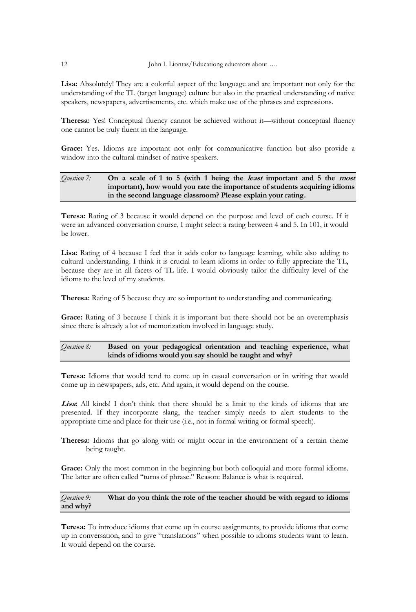**Lisa:** Absolutely! They are a colorful aspect of the language and are important not only for the understanding of the TL (target language) culture but also in the practical understanding of native speakers, newspapers, advertisements, etc. which make use of the phrases and expressions.

**Theresa:** Yes! Conceptual fluency cannot be achieved without it—without conceptual fluency one cannot be truly fluent in the language.

**Grace:** Yes. Idioms are important not only for communicative function but also provide a window into the cultural mindset of native speakers.

### *Question 7:* **On a scale of 1 to 5 (with 1 being the least important and 5 the most important), how would you rate the importance of students acquiring idioms in the second language classroom? Please explain your rating.**

**Teresa:** Rating of 3 because it would depend on the purpose and level of each course. If it were an advanced conversation course, I might select a rating between 4 and 5. In 101, it would be lower.

**Lisa:** Rating of 4 because I feel that it adds color to language learning, while also adding to cultural understanding. I think it is crucial to learn idioms in order to fully appreciate the TL, because they are in all facets of TL life. I would obviously tailor the difficulty level of the idioms to the level of my students.

**Theresa:** Rating of 5 because they are so important to understanding and communicating.

Grace: Rating of 3 because I think it is important but there should not be an overemphasis since there is already a lot of memorization involved in language study.

# *Question 8:* **Based on your pedagogical orientation and teaching experience, what kinds of idioms would you say should be taught and why?**

**Teresa:** Idioms that would tend to come up in casual conversation or in writing that would come up in newspapers, ads, etc. And again, it would depend on the course.

**Lisa:** All kinds! I don't think that there should be a limit to the kinds of idioms that are presented. If they incorporate slang, the teacher simply needs to alert students to the appropriate time and place for their use (i.e., not in formal writing or formal speech).

**Theresa:** Idioms that go along with or might occur in the environment of a certain theme being taught.

**Grace:** Only the most common in the beginning but both colloquial and more formal idioms. The latter are often called "turns of phrase." Reason: Balance is what is required.

*Question 9:* **What do you think the role of the teacher should be with regard to idioms and why?**

**Teresa:** To introduce idioms that come up in course assignments, to provide idioms that come up in conversation, and to give "translations" when possible to idioms students want to learn. It would depend on the course.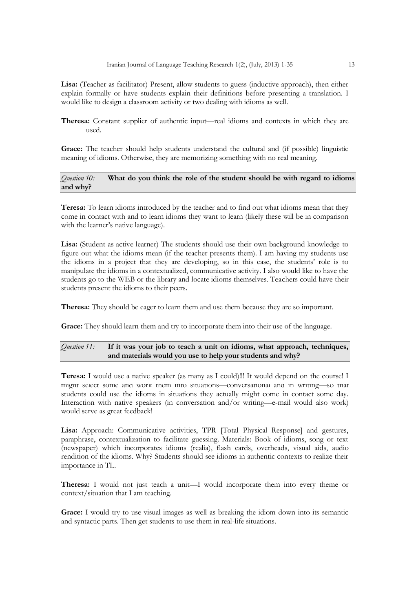Iranian Journal of Language Teaching Research 1(2), (July, 2013) 1-35 13

**Lisa:** (Teacher as facilitator) Present, allow students to guess (inductive approach), then either explain formally or have students explain their definitions before presenting a translation. I would like to design a classroom activity or two dealing with idioms as well.

**Theresa:** Constant supplier of authentic input—real idioms and contexts in which they are used.

**Grace:** The teacher should help students understand the cultural and (if possible) linguistic meaning of idioms. Otherwise, they are memorizing something with no real meaning.

### *Question 10:* **What do you think the role of the student should be with regard to idioms and why?**

**Teresa:** To learn idioms introduced by the teacher and to find out what idioms mean that they come in contact with and to learn idioms they want to learn (likely these will be in comparison with the learner's native language).

**Lisa:** (Student as active learner) The students should use their own background knowledge to figure out what the idioms mean (if the teacher presents them). I am having my students use the idioms in a project that they are developing, so in this case, the students' role is to manipulate the idioms in a contextualized, communicative activity. I also would like to have the students go to the WEB or the library and locate idioms themselves. Teachers could have their students present the idioms to their peers.

**Theresa:** They should be eager to learn them and use them because they are so important.

Grace: They should learn them and try to incorporate them into their use of the language.

# *Question 11:* **If it was your job to teach a unit on idioms, what approach, techniques, and materials would you use to help your students and why?**

**Teresa:** I would use a native speaker (as many as I could)!!! It would depend on the course! I might select some and work them into situations—conversational and in writing—so that students could use the idioms in situations they actually might come in contact some day. Interaction with native speakers (in conversation and/or writing—e-mail would also work) would serve as great feedback!

**Lisa:** Approach: Communicative activities, TPR [Total Physical Response] and gestures, paraphrase, contextualization to facilitate guessing. Materials: Book of idioms, song or text (newspaper) which incorporates idioms (realia), flash cards, overheads, visual aids, audio rendition of the idioms. Why? Students should see idioms in authentic contexts to realize their importance in TL.

**Theresa:** I would not just teach a unit—I would incorporate them into every theme or context/situation that I am teaching.

**Grace:** I would try to use visual images as well as breaking the idiom down into its semantic and syntactic parts. Then get students to use them in real-life situations.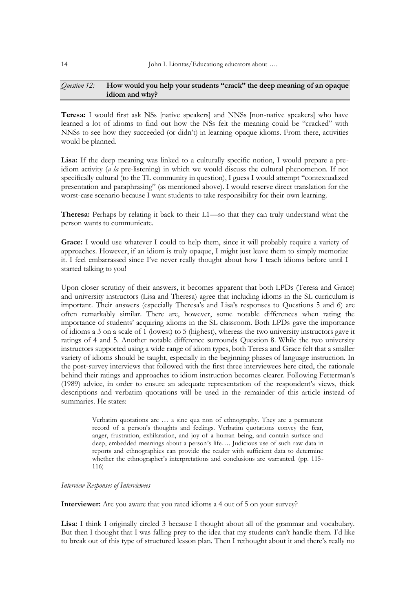# *Question 12:* **How would you help your students "crack" the deep meaning of an opaque idiom and why?**

**Teresa:** I would first ask NSs [native speakers] and NNSs [non-native speakers] who have learned a lot of idioms to find out how the NSs felt the meaning could be "cracked" with NNSs to see how they succeeded (or didn't) in learning opaque idioms. From there, activities would be planned.

Lisa: If the deep meaning was linked to a culturally specific notion, I would prepare a preidiom activity (*a la* pre-listening) in which we would discuss the cultural phenomenon. If not specifically cultural (to the TL community in question), I guess I would attempt "contextualized presentation and paraphrasing" (as mentioned above). I would reserve direct translation for the worst-case scenario because I want students to take responsibility for their own learning.

**Theresa:** Perhaps by relating it back to their L1—so that they can truly understand what the person wants to communicate.

**Grace:** I would use whatever I could to help them, since it will probably require a variety of approaches. However, if an idiom is truly opaque, I might just leave them to simply memorize it. I feel embarrassed since I've never really thought about how I teach idioms before until I started talking to you!

Upon closer scrutiny of their answers, it becomes apparent that both LPDs (Teresa and Grace) and university instructors (Lisa and Theresa) agree that including idioms in the SL curriculum is important. Their answers (especially Theresa's and Lisa's responses to Questions 5 and 6) are often remarkably similar. There are, however, some notable differences when rating the importance of students' acquiring idioms in the SL classroom. Both LPDs gave the importance of idioms a 3 on a scale of 1 (lowest) to 5 (highest), whereas the two university instructors gave it ratings of 4 and 5. Another notable difference surrounds Question 8. While the two university instructors supported using a wide range of idiom types, both Teresa and Grace felt that a smaller variety of idioms should be taught, especially in the beginning phases of language instruction. In the post-survey interviews that followed with the first three interviewees here cited, the rationale behind their ratings and approaches to idiom instruction becomes clearer. Following Fetterman's (1989) advice, in order to ensure an adequate representation of the respondent's views, thick descriptions and verbatim quotations will be used in the remainder of this article instead of summaries. He states:

> Verbatim quotations are … a sine qua non of ethnography. They are a permanent record of a person's thoughts and feelings. Verbatim quotations convey the fear, anger, frustration, exhilaration, and joy of a human being, and contain surface and deep, embedded meanings about a person's life…. Judicious use of such raw data in reports and ethnographies can provide the reader with sufficient data to determine whether the ethnographer's interpretations and conclusions are warranted. (pp. 115- 116)

# *Interview Responses of Interviewees*

**Interviewer:** Are you aware that you rated idioms a 4 out of 5 on your survey?

**Lisa:** I think I originally circled 3 because I thought about all of the grammar and vocabulary. But then I thought that I was falling prey to the idea that my students can't handle them. I'd like to break out of this type of structured lesson plan. Then I rethought about it and there's really no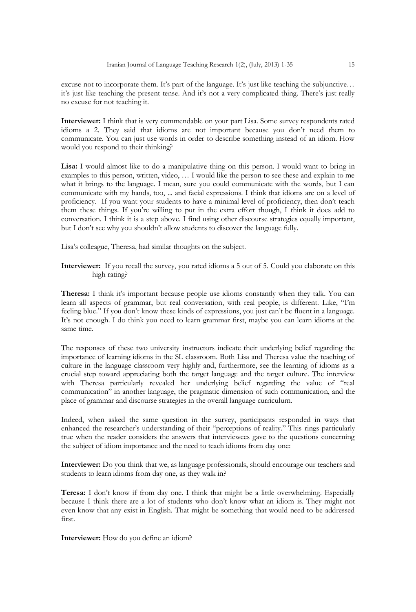excuse not to incorporate them. It's part of the language. It's just like teaching the subjunctive… it's just like teaching the present tense. And it's not a very complicated thing. There's just really no excuse for not teaching it.

**Interviewer:** I think that is very commendable on your part Lisa. Some survey respondents rated idioms a 2. They said that idioms are not important because you don't need them to communicate. You can just use words in order to describe something instead of an idiom. How would you respond to their thinking?

**Lisa:** I would almost like to do a manipulative thing on this person. I would want to bring in examples to this person, written, video, … I would like the person to see these and explain to me what it brings to the language. I mean, sure you could communicate with the words, but I can communicate with my hands, too, ... and facial expressions. I think that idioms are on a level of proficiency. If you want your students to have a minimal level of proficiency, then don't teach them these things. If you're willing to put in the extra effort though, I think it does add to conversation. I think it is a step above. I find using other discourse strategies equally important, but I don't see why you shouldn't allow students to discover the language fully.

Lisa's colleague, Theresa, had similar thoughts on the subject.

**Interviewer:** If you recall the survey, you rated idioms a 5 out of 5. Could you elaborate on this high rating?

**Theresa:** I think it's important because people use idioms constantly when they talk. You can learn all aspects of grammar, but real conversation, with real people, is different. Like, "I'm feeling blue." If you don't know these kinds of expressions, you just can't be fluent in a language. It's not enough. I do think you need to learn grammar first, maybe you can learn idioms at the same time.

The responses of these two university instructors indicate their underlying belief regarding the importance of learning idioms in the SL classroom. Both Lisa and Theresa value the teaching of culture in the language classroom very highly and, furthermore, see the learning of idioms as a crucial step toward appreciating both the target language and the target culture. The interview with Theresa particularly revealed her underlying belief regarding the value of "real communication" in another language, the pragmatic dimension of such communication, and the place of grammar and discourse strategies in the overall language curriculum.

Indeed, when asked the same question in the survey, participants responded in ways that enhanced the researcher's understanding of their "perceptions of reality." This rings particularly true when the reader considers the answers that interviewees gave to the questions concerning the subject of idiom importance and the need to teach idioms from day one:

**Interviewer:** Do you think that we, as language professionals, should encourage our teachers and students to learn idioms from day one, as they walk in?

**Teresa:** I don't know if from day one. I think that might be a little overwhelming. Especially because I think there are a lot of students who don't know what an idiom is. They might not even know that any exist in English. That might be something that would need to be addressed first.

**Interviewer:** How do you define an idiom?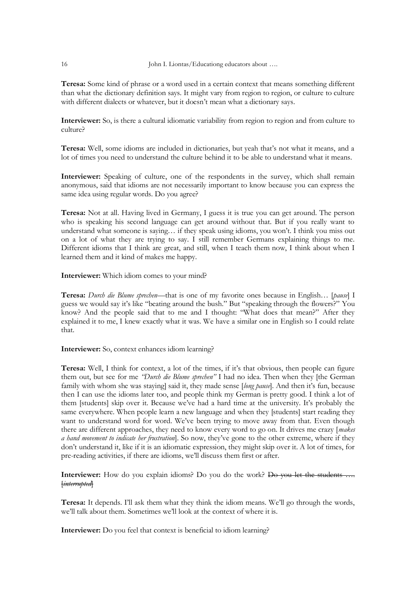**Teresa:** Some kind of phrase or a word used in a certain context that means something different than what the dictionary definition says. It might vary from region to region, or culture to culture with different dialects or whatever, but it doesn't mean what a dictionary says.

**Interviewer:** So, is there a cultural idiomatic variability from region to region and from culture to culture?

**Teresa:** Well, some idioms are included in dictionaries, but yeah that's not what it means, and a lot of times you need to understand the culture behind it to be able to understand what it means.

**Interviewer:** Speaking of culture, one of the respondents in the survey, which shall remain anonymous, said that idioms are not necessarily important to know because you can express the same idea using regular words. Do you agree?

**Teresa:** Not at all. Having lived in Germany, I guess it is true you can get around. The person who is speaking his second language can get around without that. But if you really want to understand what someone is saying… if they speak using idioms, you won't. I think you miss out on a lot of what they are trying to say. I still remember Germans explaining things to me. Different idioms that I think are great, and still, when I teach them now, I think about when I learned them and it kind of makes me happy.

**Interviewer:** Which idiom comes to your mind?

**Teresa:** *Durch die Blume sprechen*—that is one of my favorite ones because in English… [*pause*] I guess we would say it's like "beating around the bush." But "speaking through the flowers?" You know? And the people said that to me and I thought: "What does that mean?" After they explained it to me, I knew exactly what it was. We have a similar one in English so I could relate that.

**Interviewer:** So, context enhances idiom learning?

**Teresa:** Well, I think for context, a lot of the times, if it's that obvious, then people can figure them out, but see for me *"Durch die Blume sprechen"* I had no idea. Then when they [the German family with whom she was staying] said it, they made sense [*long pause*]. And then it's fun, because then I can use the idioms later too, and people think my German is pretty good. I think a lot of them [students] skip over it. Because we've had a hard time at the university. It's probably the same everywhere. When people learn a new language and when they [students] start reading they want to understand word for word. We've been trying to move away from that. Even though there are different approaches, they need to know every word to go on. It drives me crazy [*makes a hand movement to indicate her frustration*]. So now, they've gone to the other extreme, where if they don't understand it, like if it is an idiomatic expression, they might skip over it. A lot of times, for pre-reading activities, if there are idioms, we'll discuss them first or after.

**Interviewer:** How do you explain idioms? Do you do the work? <del>Do you let the students</del> [*interrupted*]

**Teresa:** It depends. I'll ask them what they think the idiom means. We'll go through the words, we'll talk about them. Sometimes we'll look at the context of where it is.

**Interviewer:** Do you feel that context is beneficial to idiom learning?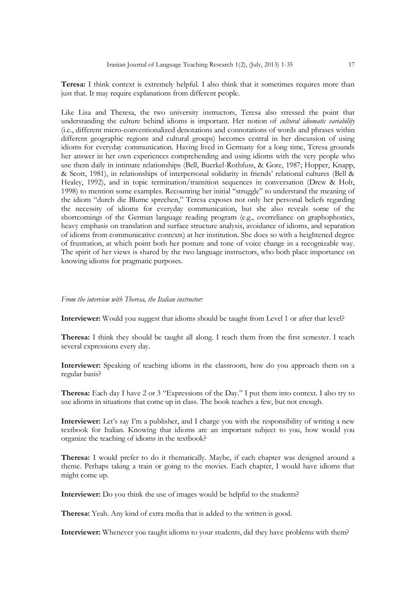**Teresa:** I think context is extremely helpful. I also think that it sometimes requires more than just that. It may require explanations from different people.

Like Lisa and Theresa, the two university instructors, Teresa also stressed the point that understanding the culture behind idioms is important. Her notion of *cultural idiomatic variability* (i.e., different micro-conventionalized denotations and connotations of words and phrases within different geographic regions and cultural groups) becomes central in her discussion of using idioms for everyday communication. Having lived in Germany for a long time, Teresa grounds her answer in her own experiences comprehending and using idioms with the very people who use them daily in intimate relationships (Bell, Buerkel-Rothfuss, & Gore, 1987; Hopper, Knapp, & Scott, 1981), in relationships of interpersonal solidarity in friends' relational cultures (Bell & Healey, 1992), and in topic termination/transition sequences in conversation (Drew & Holt, 1998) to mention some examples. Recounting her initial "struggle" to understand the meaning of the idiom "durch die Blume sprechen," Teresa exposes not only her personal beliefs regarding the necessity of idioms for everyday communication, but she also reveals some of the shortcomings of the German language reading program (e.g., overreliance on graphophonics, heavy emphasis on translation and surface structure analysis, avoidance of idioms, and separation of idioms from communicative contexts) at her institution. She does so with a heightened degree of frustration, at which point both her posture and tone of voice change in a recognizable way. The spirit of her views is shared by the two language instructors, who both place importance on knowing idioms for pragmatic purposes.

#### *From the interview with Theresa, the Italian instructor:*

**Interviewer:** Would you suggest that idioms should be taught from Level 1 or after that level?

**Theresa:** I think they should be taught all along. I teach them from the first semester. I teach several expressions every day.

**Interviewer:** Speaking of teaching idioms in the classroom, how do you approach them on a regular basis?

**Theresa:** Each day I have 2 or 3 "Expressions of the Day." I put them into context. I also try to use idioms in situations that come up in class. The book teaches a few, but not enough.

**Interviewer:** Let's say I'm a publisher, and I charge you with the responsibility of writing a new textbook for Italian. Knowing that idioms are an important subject to you, how would you organize the teaching of idioms in the textbook?

**Theresa:** I would prefer to do it thematically. Maybe, if each chapter was designed around a theme. Perhaps taking a train or going to the movies. Each chapter, I would have idioms that might come up.

**Interviewer:** Do you think the use of images would be helpful to the students?

**Theresa:** Yeah. Any kind of extra media that is added to the written is good.

**Interviewer:** Whenever you taught idioms to your students, did they have problems with them?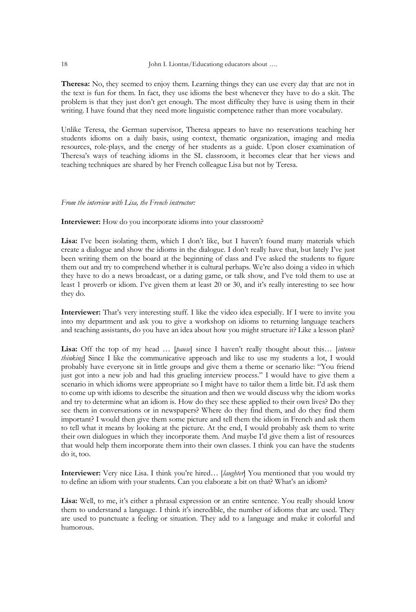**Theresa:** No, they seemed to enjoy them. Learning things they can use every day that are not in the text is fun for them. In fact, they use idioms the best whenever they have to do a skit. The problem is that they just don't get enough. The most difficulty they have is using them in their writing. I have found that they need more linguistic competence rather than more vocabulary.

Unlike Teresa, the German supervisor, Theresa appears to have no reservations teaching her students idioms on a daily basis, using context, thematic organization, imaging and media resources, role-plays, and the energy of her students as a guide. Upon closer examination of Theresa's ways of teaching idioms in the SL classroom, it becomes clear that her views and teaching techniques are shared by her French colleague Lisa but not by Teresa.

#### *From the interview with Lisa, the French instructor:*

**Interviewer:** How do you incorporate idioms into your classroom?

Lisa: I've been isolating them, which I don't like, but I haven't found many materials which create a dialogue and show the idioms in the dialogue. I don't really have that, but lately I've just been writing them on the board at the beginning of class and I've asked the students to figure them out and try to comprehend whether it is cultural perhaps. We're also doing a video in which they have to do a news broadcast, or a dating game, or talk show, and I've told them to use at least 1 proverb or idiom. I've given them at least 20 or 30, and it's really interesting to see how they do.

**Interviewer:** That's very interesting stuff. I like the video idea especially. If I were to invite you into my department and ask you to give a workshop on idioms to returning language teachers and teaching assistants, do you have an idea about how you might structure it? Like a lesson plan?

**Lisa:** Off the top of my head … [*pause*] since I haven't really thought about this… [*intense thinking*] Since I like the communicative approach and like to use my students a lot, I would probably have everyone sit in little groups and give them a theme or scenario like: "You friend just got into a new job and had this grueling interview process." I would have to give them a scenario in which idioms were appropriate so I might have to tailor them a little bit. I'd ask them to come up with idioms to describe the situation and then we would discuss why the idiom works and try to determine what an idiom is. How do they see these applied to their own lives? Do they see them in conversations or in newspapers? Where do they find them, and do they find them important? I would then give them some picture and tell them the idiom in French and ask them to tell what it means by looking at the picture. At the end, I would probably ask them to write their own dialogues in which they incorporate them. And maybe I'd give them a list of resources that would help them incorporate them into their own classes. I think you can have the students do it, too.

**Interviewer:** Very nice Lisa. I think you're hired… [*laughter*] You mentioned that you would try to define an idiom with your students. Can you elaborate a bit on that? What's an idiom?

**Lisa:** Well, to me, it's either a phrasal expression or an entire sentence. You really should know them to understand a language. I think it's incredible, the number of idioms that are used. They are used to punctuate a feeling or situation. They add to a language and make it colorful and humorous.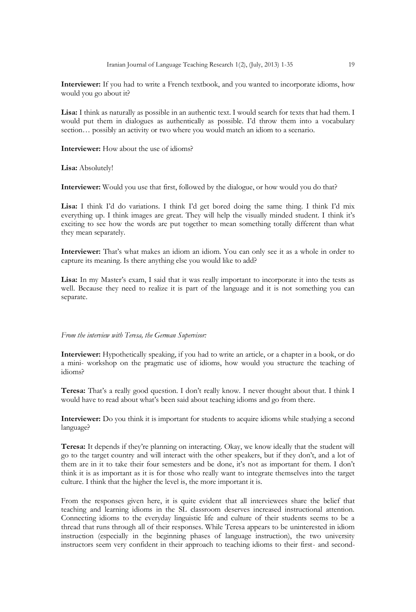**Interviewer:** If you had to write a French textbook, and you wanted to incorporate idioms, how would you go about it?

Lisa: I think as naturally as possible in an authentic text. I would search for texts that had them. I would put them in dialogues as authentically as possible. I'd throw them into a vocabulary section… possibly an activity or two where you would match an idiom to a scenario.

**Interviewer:** How about the use of idioms?

**Lisa:** Absolutely!

**Interviewer:** Would you use that first, followed by the dialogue, or how would you do that?

**Lisa:** I think I'd do variations. I think I'd get bored doing the same thing. I think I'd mix everything up. I think images are great. They will help the visually minded student. I think it's exciting to see how the words are put together to mean something totally different than what they mean separately.

**Interviewer:** That's what makes an idiom an idiom. You can only see it as a whole in order to capture its meaning. Is there anything else you would like to add?

**Lisa:** In my Master's exam, I said that it was really important to incorporate it into the tests as well. Because they need to realize it is part of the language and it is not something you can separate.

#### *From the interview with Teresa, the German Supervisor:*

**Interviewer:** Hypothetically speaking, if you had to write an article, or a chapter in a book, or do a mini- workshop on the pragmatic use of idioms, how would you structure the teaching of idioms?

**Teresa:** That's a really good question. I don't really know. I never thought about that. I think I would have to read about what's been said about teaching idioms and go from there.

**Interviewer:** Do you think it is important for students to acquire idioms while studying a second language?

**Teresa:** It depends if they're planning on interacting. Okay, we know ideally that the student will go to the target country and will interact with the other speakers, but if they don't, and a lot of them are in it to take their four semesters and be done, it's not as important for them. I don't think it is as important as it is for those who really want to integrate themselves into the target culture. I think that the higher the level is, the more important it is.

From the responses given here, it is quite evident that all interviewees share the belief that teaching and learning idioms in the SL classroom deserves increased instructional attention. Connecting idioms to the everyday linguistic life and culture of their students seems to be a thread that runs through all of their responses. While Teresa appears to be uninterested in idiom instruction (especially in the beginning phases of language instruction), the two university instructors seem very confident in their approach to teaching idioms to their first- and second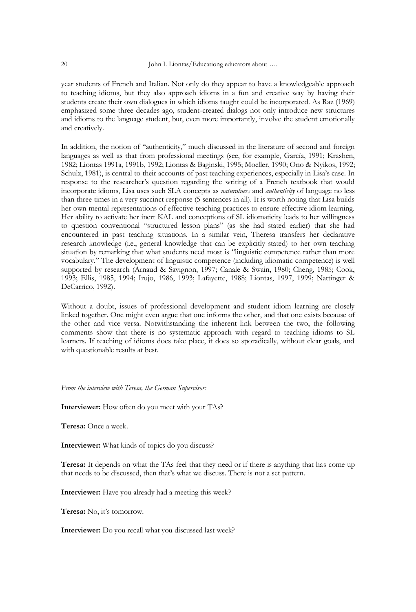year students of French and Italian. Not only do they appear to have a knowledgeable approach to teaching idioms, but they also approach idioms in a fun and creative way by having their students create their own dialogues in which idioms taught could be incorporated. As Raz (1969) emphasized some three decades ago, student-created dialogs not only introduce new structures and idioms to the language student, but, even more importantly, involve the student emotionally and creatively.

In addition, the notion of "authenticity," much discussed in the literature of second and foreign languages as well as that from professional meetings (see, for example, García, 1991; Krashen, 1982; Liontas 1991a, 1991b, 1992; Liontas & Baginski, 1995; Moeller, 1990; Ono & Nyikos, 1992; Schulz, 1981), is central to their accounts of past teaching experiences, especially in Lisa's case. In response to the researcher's question regarding the writing of a French textbook that would incorporate idioms, Lisa uses such SLA concepts as *naturalness* and *authenticity* of language no less than three times in a very succinct response (5 sentences in all). It is worth noting that Lisa builds her own mental representations of effective teaching practices to ensure effective idiom learning. Her ability to activate her inert KAL and conceptions of SL idiomaticity leads to her willingness to question conventional "structured lesson plans" (as she had stated earlier) that she had encountered in past teaching situations. In a similar vein, Theresa transfers her declarative research knowledge (i.e., general knowledge that can be explicitly stated) to her own teaching situation by remarking that what students need most is "linguistic competence rather than more vocabulary.‖ The development of linguistic competence (including idiomatic competence) is well supported by research (Arnaud & Savignon, 1997; Canale & Swain, 1980; Cheng, 1985; Cook, 1993; Ellis, 1985, 1994; Irujo, 1986, 1993; Lafayette, 1988; Liontas, 1997, 1999; Nattinger & DeCarrico, 1992).

Without a doubt, issues of professional development and student idiom learning are closely linked together. One might even argue that one informs the other, and that one exists because of the other and vice versa. Notwithstanding the inherent link between the two, the following comments show that there is no systematic approach with regard to teaching idioms to SL learners. If teaching of idioms does take place, it does so sporadically, without clear goals, and with questionable results at best.

*From the interview with Teresa, the German Supervisor:*

**Interviewer:** How often do you meet with your TAs?

**Teresa:** Once a week.

**Interviewer:** What kinds of topics do you discuss?

**Teresa:** It depends on what the TAs feel that they need or if there is anything that has come up that needs to be discussed, then that's what we discuss. There is not a set pattern.

**Interviewer:** Have you already had a meeting this week?

**Teresa:** No, it's tomorrow.

**Interviewer:** Do you recall what you discussed last week?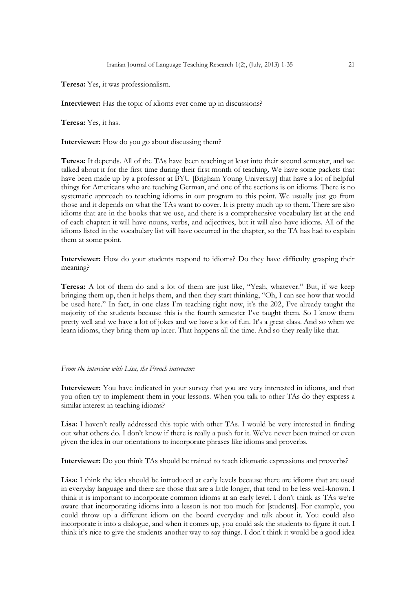**Teresa:** Yes, it was professionalism.

**Interviewer:** Has the topic of idioms ever come up in discussions?

**Teresa:** Yes, it has.

**Interviewer:** How do you go about discussing them?

**Teresa:** It depends. All of the TAs have been teaching at least into their second semester, and we talked about it for the first time during their first month of teaching. We have some packets that have been made up by a professor at BYU [Brigham Young University] that have a lot of helpful things for Americans who are teaching German, and one of the sections is on idioms. There is no systematic approach to teaching idioms in our program to this point. We usually just go from those and it depends on what the TAs want to cover. It is pretty much up to them. There are also idioms that are in the books that we use, and there is a comprehensive vocabulary list at the end of each chapter: it will have nouns, verbs, and adjectives, but it will also have idioms. All of the idioms listed in the vocabulary list will have occurred in the chapter, so the TA has had to explain them at some point.

**Interviewer:** How do your students respond to idioms? Do they have difficulty grasping their meaning?

**Teresa:** A lot of them do and a lot of them are just like, "Yeah, whatever." But, if we keep bringing them up, then it helps them, and then they start thinking, "Oh, I can see how that would be used here." In fact, in one class I'm teaching right now, it's the 202, I've already taught the majority of the students because this is the fourth semester I've taught them. So I know them pretty well and we have a lot of jokes and we have a lot of fun. It's a great class. And so when we learn idioms, they bring them up later. That happens all the time. And so they really like that.

#### *From the interview with Lisa, the French instructor:*

**Interviewer:** You have indicated in your survey that you are very interested in idioms, and that you often try to implement them in your lessons. When you talk to other TAs do they express a similar interest in teaching idioms?

**Lisa:** I haven't really addressed this topic with other TAs. I would be very interested in finding out what others do. I don't know if there is really a push for it. We've never been trained or even given the idea in our orientations to incorporate phrases like idioms and proverbs.

**Interviewer:** Do you think TAs should be trained to teach idiomatic expressions and proverbs?

**Lisa:** I think the idea should be introduced at early levels because there are idioms that are used in everyday language and there are those that are a little longer, that tend to be less well-known. I think it is important to incorporate common idioms at an early level. I don't think as TAs we're aware that incorporating idioms into a lesson is not too much for [students]. For example, you could throw up a different idiom on the board everyday and talk about it. You could also incorporate it into a dialogue, and when it comes up, you could ask the students to figure it out. I think it's nice to give the students another way to say things. I don't think it would be a good idea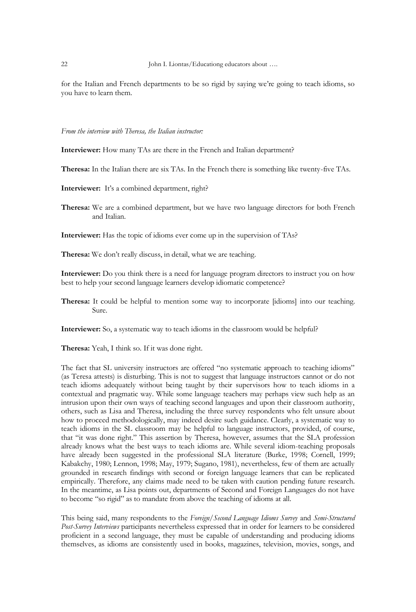for the Italian and French departments to be so rigid by saying we're going to teach idioms, so you have to learn them.

## *From the interview with Theresa, the Italian instructor:*

**Interviewer:** How many TAs are there in the French and Italian department?

**Theresa:** In the Italian there are six TAs. In the French there is something like twenty-five TAs.

- **Interviewer:** It's a combined department, right?
- **Theresa:** We are a combined department, but we have two language directors for both French and Italian.

**Interviewer:** Has the topic of idioms ever come up in the supervision of TAs?

**Theresa:** We don't really discuss, in detail, what we are teaching.

**Interviewer:** Do you think there is a need for language program directors to instruct you on how best to help your second language learners develop idiomatic competence?

**Theresa:** It could be helpful to mention some way to incorporate [idioms] into our teaching. Sure.

**Interviewer:** So, a systematic way to teach idioms in the classroom would be helpful?

**Theresa:** Yeah, I think so. If it was done right.

The fact that SL university instructors are offered "no systematic approach to teaching idioms" (as Teresa attests) is disturbing. This is not to suggest that language instructors cannot or do not teach idioms adequately without being taught by their supervisors how to teach idioms in a contextual and pragmatic way. While some language teachers may perhaps view such help as an intrusion upon their own ways of teaching second languages and upon their classroom authority, others, such as Lisa and Theresa, including the three survey respondents who felt unsure about how to proceed methodologically, may indeed desire such guidance. Clearly, a systematic way to teach idioms in the SL classroom may be helpful to language instructors, provided, of course, that "it was done right." This assertion by Theresa, however, assumes that the SLA profession already knows what the best ways to teach idioms are. While several idiom-teaching proposals have already been suggested in the professional SLA literature (Burke, 1998; Cornell, 1999; Kabakchy, 1980; Lennon, 1998; May, 1979; Sugano, 1981), nevertheless, few of them are actually grounded in research findings with second or foreign language learners that can be replicated empirically. Therefore, any claims made need to be taken with caution pending future research. In the meantime, as Lisa points out, departments of Second and Foreign Languages do not have to become "so rigid" as to mandate from above the teaching of idioms at all.

This being said, many respondents to the *Foreign/Second Language Idioms Survey* and *Semi-Structured Post-Survey Interviews* participants nevertheless expressed that in order for learners to be considered proficient in a second language, they must be capable of understanding and producing idioms themselves, as idioms are consistently used in books, magazines, television, movies, songs, and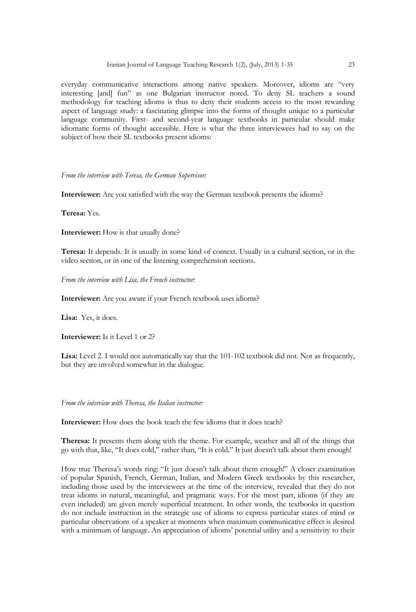everyday communicative interactions among native speakers. Moreover, idioms are "very interesting [and] fun" as one Bulgarian instructor noted. To deny SL teachers a sound methodology for teaching idioms is thus to deny their students access to the most rewarding aspect of language study: a fascinating glimpse into the forms of thought unique to a particular language community. First- and second-year language textbooks in particular should make idiomatic forms of thought accessible. Here is what the three interviewees had to say on the subject of how their SL textbooks present idioms:

*From the interview with Teresa, the German Supervisor:*

**Interviewer:** Are you satisfied with the way the German textbook presents the idioms?

**Teresa:** Yes.

**Interviewer:** How is that usually done?

**Teresa:** It depends. It is usually in some kind of context. Usually in a cultural section, or in the video section, or in one of the listening comprehension sections.

*From the interview with Lisa, the French instructor:*

**Interviewer:** Are you aware if your French textbook uses idioms?

**Lisa:** Yes, it does.

**Interviewer:** Is it Level 1 or 2?

**Lisa:** Level 2. I would not automatically say that the 101-102 textbook did not. Not as frequently, but they are involved somewhat in the dialogue.

*From the interview with Theresa, the Italian instructor:*

**Interviewer:** How does the book teach the few idioms that it does teach?

**Theresa:** It presents them along with the theme. For example, weather and all of the things that go with that, like, "It does cold," rather than, "It is cold." It just doesn't talk about them enough!

How true Theresa's words ring: "It just doesn't talk about them enough!" A closer examination of popular Spanish, French, German, Italian, and Modern Greek textbooks by this researcher, including those used by the interviewees at the time of the interview, revealed that they do not treat idioms in natural, meaningful, and pragmatic ways. For the most part, idioms (if they are even included) are given merely superficial treatment. In other words, the textbooks in question do not include instruction in the strategic use of idioms to express particular states of mind or particular observations of a speaker at moments when maximum communicative effect is desired with a minimum of language. An appreciation of idioms' potential utility and a sensitivity to their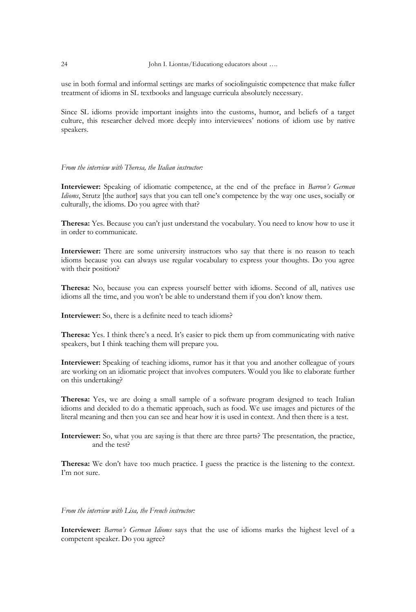use in both formal and informal settings are marks of sociolinguistic competence that make fuller treatment of idioms in SL textbooks and language curricula absolutely necessary.

Since SL idioms provide important insights into the customs, humor, and beliefs of a target culture, this researcher delved more deeply into interviewees' notions of idiom use by native speakers.

#### *From the interview with Theresa, the Italian instructor:*

**Interviewer:** Speaking of idiomatic competence, at the end of the preface in *Barron's German Idioms*, Strutz [the author] says that you can tell one's competence by the way one uses, socially or culturally, the idioms. Do you agree with that?

**Theresa:** Yes. Because you can't just understand the vocabulary. You need to know how to use it in order to communicate.

**Interviewer:** There are some university instructors who say that there is no reason to teach idioms because you can always use regular vocabulary to express your thoughts. Do you agree with their position?

**Theresa:** No, because you can express yourself better with idioms. Second of all, natives use idioms all the time, and you won't be able to understand them if you don't know them.

**Interviewer:** So, there is a definite need to teach idioms?

**Theresa:** Yes. I think there's a need. It's easier to pick them up from communicating with native speakers, but I think teaching them will prepare you.

**Interviewer:** Speaking of teaching idioms, rumor has it that you and another colleague of yours are working on an idiomatic project that involves computers. Would you like to elaborate further on this undertaking?

**Theresa:** Yes, we are doing a small sample of a software program designed to teach Italian idioms and decided to do a thematic approach, such as food. We use images and pictures of the literal meaning and then you can see and hear how it is used in context. And then there is a test.

**Interviewer:** So, what you are saying is that there are three parts? The presentation, the practice, and the test?

**Theresa:** We don't have too much practice. I guess the practice is the listening to the context. I'm not sure.

# *From the interview with Lisa, the French instructor:*

**Interviewer:** *Barron's German Idioms* says that the use of idioms marks the highest level of a competent speaker. Do you agree?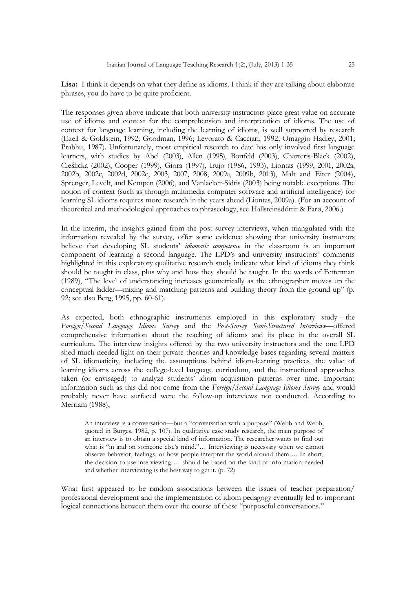**Lisa:** I think it depends on what they define as idioms. I think if they are talking about elaborate phrases, you do have to be quite proficient.

The responses given above indicate that both university instructors place great value on accurate use of idioms and context for the comprehension and interpretation of idioms. The use of context for language learning, including the learning of idioms, is well supported by research (Ezell & Goldstein, 1992; Goodman, 1996; Levorato & Cacciari, 1992; Omaggio Hadley, 2001; Prabhu, 1987). Unfortunately, most empirical research to date has only involved first language learners, with studies by Abel (2003), Allen (1995), Bortfeld (2003), Charteris-Black (2002), Cieślicka (2002), Cooper (1999), Giora (1997), Irujo (1986, 1993), Liontas (1999, 2001, 2002a, 2002b, 2002c, 2002d, 2002e, 2003, 2007, 2008, 2009a, 2009b, 2013), Malt and Eiter (2004), Sprenger, Levelt, and Kempen (2006), and Vanlacker-Sidtis (2003) being notable exceptions. The notion of context (such as through multimedia computer software and artificial intelligence) for learning SL idioms requires more research in the years ahead (Liontas, 2009a). (For an account of theoretical and methodological approaches to phraseology, see Hallsteinsdóttir & Farø, 2006.)

In the interim, the insights gained from the post-survey interviews, when triangulated with the information revealed by the survey, offer some evidence showing that university instructors believe that developing SL students' *idiomatic competence* in the classroom is an important component of learning a second language. The LPD's and university instructors' comments highlighted in this exploratory qualitative research study indicate what kind of idioms they think should be taught in class, plus why and how they should be taught. In the words of Fetterman (1989), "The level of understanding increases geometrically as the ethnographer moves up the conceptual ladder—mixing and matching patterns and building theory from the ground up" (p. 92; see also Berg, 1995, pp. 60-61).

As expected, both ethnographic instruments employed in this exploratory study—the *Foreign/Second Language Idioms Survey* and the *Post-Survey Semi-Structured Interviews*—offered comprehensive information about the teaching of idioms and its place in the overall SL curriculum. The interview insights offered by the two university instructors and the one LPD shed much needed light on their private theories and knowledge bases regarding several matters of SL idiomaticity, including the assumptions behind idiom-learning practices, the value of learning idioms across the college-level language curriculum, and the instructional approaches taken (or envisaged) to analyze students' idiom acquisition patterns over time. Important information such as this did not come from the *Foreign/Second Language Idioms Survey* and would probably never have surfaced were the follow-up interviews not conducted. According to Merriam (1988),

An interview is a conversation—but a "conversation with a purpose" (Webb and Webb, quoted in Burges, 1982, p. 107). In qualitative case study research, the main purpose of an interview is to obtain a special kind of information. The researcher wants to find out what is "in and on someone else's mind."... Interviewing is necessary when we cannot observe behavior, feelings, or how people interpret the world around them…. In short, the decision to use interviewing … should be based on the kind of information needed and whether interviewing is the best way to get it. (p. 72)

What first appeared to be random associations between the issues of teacher preparation/ professional development and the implementation of idiom pedagogy eventually led to important logical connections between them over the course of these "purposeful conversations."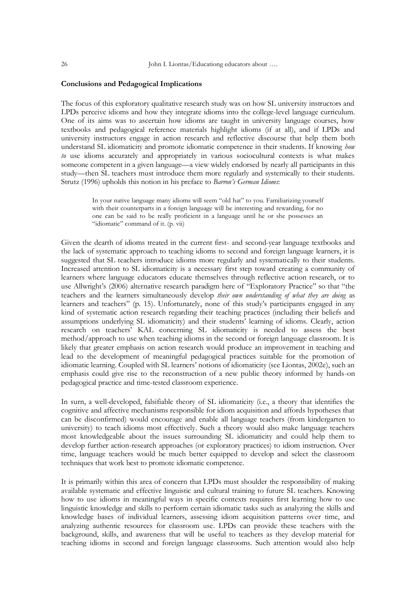#### **Conclusions and Pedagogical Implications**

The focus of this exploratory qualitative research study was on how SL university instructors and LPDs perceive idioms and how they integrate idioms into the college-level language curriculum. One of its aims was to ascertain how idioms are taught in university language courses, how textbooks and pedagogical reference materials highlight idioms (if at all), and if LPDs and university instructors engage in action research and reflective discourse that help them both understand SL idiomaticity and promote idiomatic competence in their students. If knowing *how to* use idioms accurately and appropriately in various sociocultural contexts is what makes someone competent in a given language—a view widely endorsed by nearly all participants in this study—then SL teachers must introduce them more regularly and systemically to their students. Strutz (1996) upholds this notion in his preface to *Barron's German Idioms*:

> In your native language many idioms will seem "old hat" to you. Familiarizing yourself with their counterparts in a foreign language will be interesting and rewarding, for no one can be said to be really proficient in a language until he or she possesses an "idiomatic" command of it. (p. vii)

Given the dearth of idioms treated in the current first- and second-year language textbooks and the lack of systematic approach to teaching idioms to second and foreign language learners, it is suggested that SL teachers introduce idioms more regularly and systematically to their students. Increased attention to SL idiomaticity is a necessary first step toward creating a community of learners where language educators educate themselves through reflective action research, or to use Allwright's (2006) alternative research paradigm here of "Exploratory Practice" so that "the teachers and the learners simultaneously develop *their own understanding of what they are doing* as learners and teachers" (p. 15). Unfortunately, none of this study's participants engaged in any kind of systematic action research regarding their teaching practices (including their beliefs and assumptions underlying SL idiomaticity) and their students' learning of idioms. Clearly, action research on teachers' KAL concerning SL idiomaticity is needed to assess the best method/approach to use when teaching idioms in the second or foreign language classroom. It is likely that greater emphasis on action research would produce an improvement in teaching and lead to the development of meaningful pedagogical practices suitable for the promotion of idiomatic learning. Coupled with SL learners' notions of idiomaticity (see Liontas, 2002e), such an emphasis could give rise to the reconstruction of a new public theory informed by hands-on pedagogical practice and time-tested classroom experience.

In surn, a well-developed, falsifiable theory of SL idiomaticity (i.e., a theory that identifies the cognitive and affective mechanisms responsible for idiom acquisition and affords hypotheses that can be disconfirmed) would encourage and enable all language teachers (from kindergarten to university) to teach idioms most effectively. Such a theory would also make language teachers most knowledgeable about the issues surrounding SL idiomaticity and could help them to develop further action-research approaches (or exploratory practices) to idiom instruction. Over time, language teachers would be much better equipped to develop and select the classroom techniques that work best to promote idiomatic competence.

It is primarily within this area of concern that LPDs must shoulder the responsibility of making available systematic and effective linguistic and cultural training to future SL teachers. Knowing how to use idioms in meaningful ways in specific contexts requires first learning how to use linguistic knowledge and skills to perform certain idiomatic tasks such as analyzing the skills and knowledge bases of individual learners, assessing idiom acquisition patterns over time, and analyzing authentic resources for classroom use. LPDs can provide these teachers with the background, skills, and awareness that will be useful to teachers as they develop material for teaching idioms in second and foreign language classrooms. Such attention would also help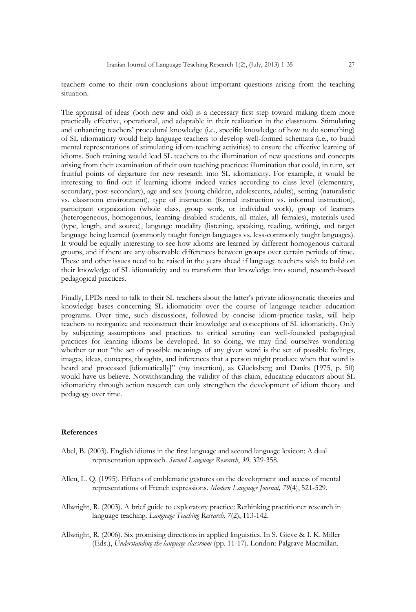teachers come to their own conclusions about important questions arising from the teaching situation.

The appraisal of ideas (both new and old) is a necessary first step toward making them more practically effective, operational, and adaptable in their realization in the classroom. Stimulating and enhancing teachers' procedural knowledge (i.e., specific knowledge of how to do something) of SL idiomaticity would help language teachers to develop well-formed schemata (i.e., to build mental representations of stimulating idiom-teaching activities) to ensure the effective learning of idioms. Such training would lead SL teachers to the illumination of new questions and concepts arising from their examination of their own teaching practices: illumination that could, in turn, set fruitful points of departure for new research into SL idiomaticity. For example, it would be interesting to find out if learning idioms indeed varies according to class level (elementary, secondary, post-secondary), age and sex (young children, adolescents, adults), setting (naturalistic vs. classroom environment), type of instruction (formal instruction vs. informal instruction), participant organization (whole class, group work, or individual work), group of learners (heterogeneous, homogenous, learning-disabled students, all males, all females), materials used (type, length, and source), language modality (listening, speaking, reading, writing), and target language being learned (commonly taught foreign languages vs. less-commonly taught languages). It would be equally interesting to see how idioms are learned by different homogenous cultural groups, and if there are any observable differences between groups over certain periods of time. These and other issues need to be raised in the years ahead if language teachers wish to build on their knowledge of SL idiomaticity and to transform that knowledge into sound, research-based pedagogical practices.

Finally, LPDs need to talk to their SL teachers about the latter's private idiosyncratic theories and knowledge bases concerning SL idiomaticity over the course of language teacher education programs. Over time, such discussions, followed by concise idiom-practice tasks, will help teachers to reorganize and reconstruct their knowledge and conceptions of SL idiomaticity. Only by subjecting assumptions and practices to critical scrutiny can well-founded pedagogical practices for learning idioms be developed. In so doing, we may find ourselves wondering whether or not "the set of possible meanings of any given word is the set of possible feelings, images, ideas, concepts, thoughts, and inferences that a person might produce when that word is heard and processed [idiomatically]" (my insertion), as Glucksberg and Danks (1975, p. 50) would have us believe. Notwithstanding the validity of this claim, educating educators about SL idiomaticity through action research can only strengthen the development of idiom theory and pedagogy over time.

#### **References**

- Abel, B. (2003). English idioms in the first language and second language lexicon: A dual representation approach. *Second Language Research*, *30,* 329-358.
- Allen, L. Q. (1995). Effects of emblematic gestures on the development and access of mental representations of French expressions. *Modern Language Journal, 79*(4), 521-529.
- Allwright, R. (2003). A brief guide to exploratory practice: Rethinking practitioner research in language teaching. *Language Teaching Research, 7*(2), 113-142.
- Allwright, R. (2006). Six promising directions in applied linguistics. In S. Gieve & I. K. Miller (Eds.), *Understanding the language classroom* (pp. 11-17). London: Palgrave Macmillan.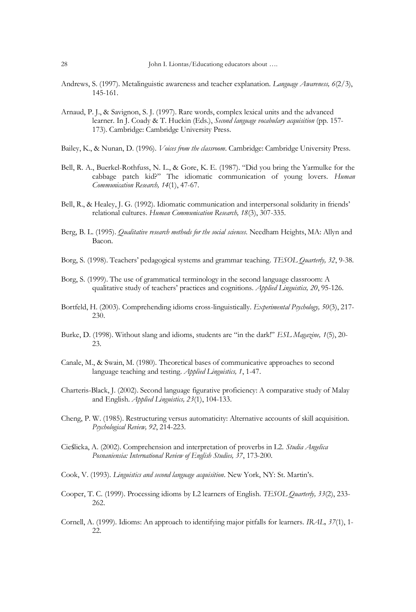- Andrews, S. (1997). Metalinguistic awareness and teacher explanation. *Language Awareness, 6*(2/3), 145-161.
- Arnaud, P. J., & Savignon, S. J. (1997). Rare words, complex lexical units and the advanced learner. In J. Coady & T. Huckin (Eds.), *Second language vocabulary acquisition* (pp. 157- 173). Cambridge: Cambridge University Press.
- Bailey, K., & Nunan, D. (1996). *Voices from the classroom*. Cambridge: Cambridge University Press.
- Bell, R. A., Buerkel-Rothfuss, N. L., & Gore, K. E. (1987). "Did you bring the Yarmulke for the cabbage patch kid?‖ The idiomatic communication of young lovers. *Human Communication Research, 14*(1), 47-67.
- Bell, R., & Healey, J. G. (1992). Idiomatic communication and interpersonal solidarity in friends' relational cultures. *Human Communication Research, 18*(3), 307-335.
- Berg, B. L. (1995). *Qualitative research methods for the social sciences*. Needham Heights, MA: Allyn and Bacon.
- Borg, S. (1998). Teachers' pedagogical systems and grammar teaching. *TESOL Quarterly, 32*, 9-38.
- Borg, S. (1999). The use of grammatical terminology in the second language classroom: A qualitative study of teachers' practices and cognitions. *Applied Linguistics, 20*, 95-126.
- Bortfeld, H. (2003). Comprehending idioms cross-linguistically. *Experimental Psychology, 50*(3), 217- 230.
- Burke, D. (1998). Without slang and idioms, students are "in the dark!" *ESL Magazine*, 1(5), 20-23.
- Canale, M., & Swain, M. (1980). Theoretical bases of communicative approaches to second language teaching and testing. *Applied Linguistics, 1*, 1-47.
- Charteris-Black, J. (2002). Second language figurative proficiency: A comparative study of Malay and English. *Applied Linguistics, 23*(1), 104-133.
- Cheng, P. W. (1985). Restructuring versus automaticity: Alternative accounts of skill acquisition. *Psychological Review, 92*, 214-223.
- Cieślicka, A. (2002). Comprehension and interpretation of proverbs in L2. *Studia Angelica Posnaniensia: International Review of English Studies, 37*, 173-200.
- Cook, V. (1993). *Linguistics and second language acquisition*. New York, NY: St. Martin's.
- Cooper, T. C. (1999). Processing idioms by L2 learners of English. *TESOL Quarterly, 33*(2), 233- 262.
- Cornell, A. (1999). Idioms: An approach to identifying major pitfalls for learners. *IRAL, 37*(1), 1- 22.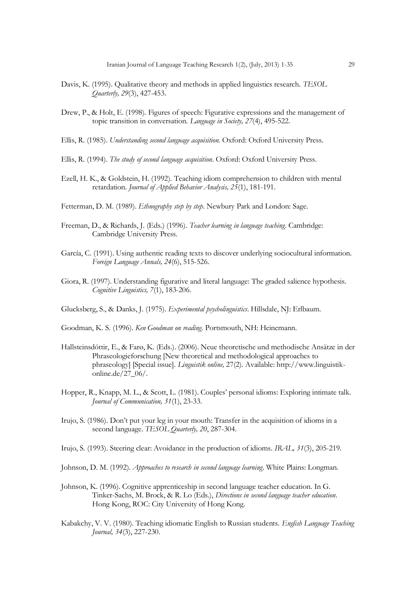- Davis, K. (1995). Qualitative theory and methods in applied linguistics research. *TESOL Quarterly, 29*(3), 427-453.
- Drew, P., & Holt, E. (1998). Figures of speech: Figurative expressions and the management of topic transition in conversation. *Language in Society, 27*(4), 495-522.
- Ellis, R. (1985). *Understanding second language acquisition.* Oxford: Oxford University Press.
- Ellis, R. (1994). *The study of second language acquisition*. Oxford: Oxford University Press.
- Ezell, H. K., & Goldstein, H. (1992). Teaching idiom comprehension to children with mental retardation. *Journal of Applied Behavior Analysis, 25*(1), 181-191.
- Fetterman, D. M. (1989). *Ethnography step by step*. Newbury Park and London: Sage.
- Freeman, D., & Richards, J. (Eds.) (1996). *Teacher learning in language teaching*. Cambridge: Cambridge University Press.
- García, C. (1991). Using authentic reading texts to discover underlying sociocultural information. *Foreign Language Annals, 24*(6), 515-526.
- Giora, R. (1997). Understanding figurative and literal language: The graded salience hypothesis. *Cognitive Linguistics, 7*(1), 183-206.
- Glucksberg, S., & Danks, J. (1975). *Experimental psycholinguistics*. Hillsdale, NJ: Erlbaum.
- Goodman, K. S. (1996). *Ken Goodman on reading*. Portsmouth, NH: Heinemann.
- Hallsteinsdóttir, E., & Farø, K. (Eds.). (2006). Neue theoretische und methodische Ansätze in der Phraseologieforschung [New theoretical and methodological approaches to phraseology] [Special issue]. *Linguistik online,* 27(2). Available: http://www.linguistikonline.de/27\_06/.
- Hopper, R., Knapp, M. L., & Scott, L. (1981). Couples' personal idioms: Exploring intimate talk. *Journal of Communication, 31*(1), 23-33.
- Irujo, S. (1986). Don't put your leg in your mouth: Transfer in the acquisition of idioms in a second language. *TESOL Quarterly, 20*, 287-304.
- Irujo, S. (1993). Steering clear: Avoidance in the production of idioms. *IRAL, 31*(3), 205-219.
- Johnson, D. M. (1992). *Approaches to research in second language learning*. White Plains: Longman.
- Johnson, K. (1996). Cognitive apprenticeship in second language teacher education. In G. Tinker-Sachs, M. Brock, & R. Lo (Eds.), *Directions in second language teacher education*. Hong Kong, ROC: City University of Hong Kong.
- Kabakchy, V. V. (1980). Teaching idiomatic English to Russian students. *English Language Teaching Journal, 34*(3), 227-230.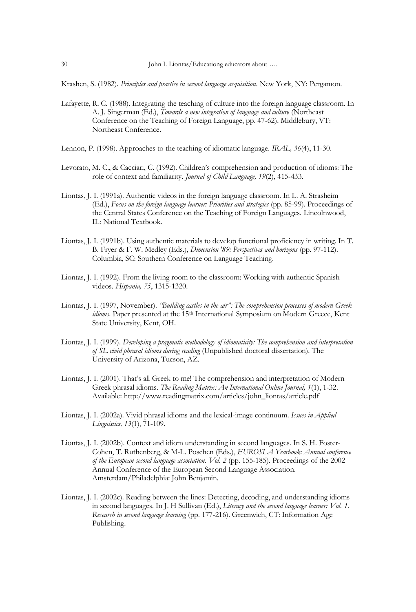Krashen, S. (1982). *Principles and practice in second language acquisition*. New York, NY: Pergamon.

- Lafayette, R. C. (1988). Integrating the teaching of culture into the foreign language classroom. In A. J. Singerman (Ed.), *Towards a new integration of language and culture* (Northeast Conference on the Teaching of Foreign Language, pp. 47-62). Middlebury, VT: Northeast Conference.
- Lennon, P. (1998). Approaches to the teaching of idiomatic language. *IRAL, 36*(4), 11-30.
- Levorato, M. C., & Cacciari, C. (1992). Children's comprehension and production of idioms: The role of context and familiarity. *Journal of Child Language, 19*(2), 415-433.
- Liontas, J. I. (1991a). Authentic videos in the foreign language classroom. In L. A. Strasheim (Ed.), *Focus on the foreign language learner: Priorities and strategies* (pp. 85-99). Proceedings of the Central States Conference on the Teaching of Foreign Languages. Lincolnwood, IL: National Textbook.
- Liontas, J. I. (1991b). Using authentic materials to develop functional proficiency in writing. In T. B. Fryer & F. W. Medley (Eds.), *Dimension '89: Perspectives and horizons* (pp. 97-112). Columbia, SC: Southern Conference on Language Teaching.
- Liontas, J. I. (1992). From the living room to the classroom: Working with authentic Spanish videos. *Hispania, 75*, 1315-1320.
- Liontas, J. I. (1997, November). *"Building castles in the air": The comprehension processes of modern Greek idioms*. Paper presented at the 15<sup>th</sup> International Symposium on Modern Greece, Kent State University, Kent, OH.
- Liontas, J. I. (1999). *Developing a pragmatic methodology of idiomaticity: The comprehension and interpretation of SL vivid phrasal idioms during reading* (Unpublished doctoral dissertation). The University of Arizona, Tucson, AZ.
- Liontas, J. I. (2001). That's all Greek to me! The comprehension and interpretation of Modern Greek phrasal idioms. *The Reading Matrix: An International Online Journal, 1*(1), 1-32. Available[: http://www.readingmatrix.com/articles/john\\_liontas/article.pdf](http://www.readingmatrix.com/articles/john_liontas/article.pdf)
- Liontas, J. I. (2002a). Vivid phrasal idioms and the lexical-image continuum. *Issues in Applied Linguistics, 13*(1), 71-109.
- Liontas, J. I. (2002b). Context and idiom understanding in second languages. In S. H. Foster-Cohen, T. Ruthenberg, & M-L. Poschen (Eds.), *EUROSLA Yearbook: Annual conference of the European second language association. Vol. 2* (pp. 155-185)*.* Proceedings of the 2002 Annual Conference of the European Second Language Association. Amsterdam/Philadelphia: John Benjamin.
- Liontas, J. I. (2002c). Reading between the lines: Detecting, decoding, and understanding idioms in second languages. In J. H Sullivan (Ed.), *Literacy and the second language learner: Vol. 1. Research in second language learning* (pp. 177-216). Greenwich, CT: Information Age Publishing.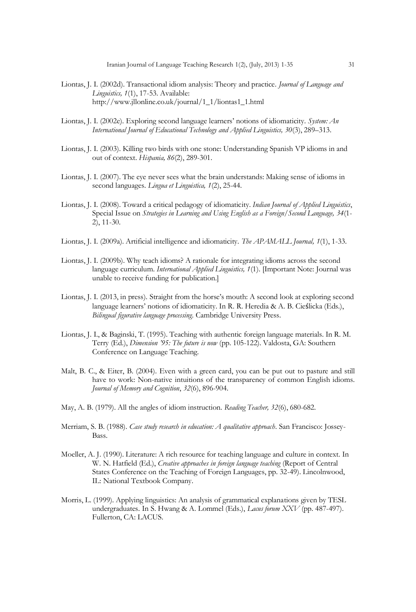- Liontas, J. I. (2002d). Transactional idiom analysis: Theory and practice*. Journal of Language and Linguistics, 1*(1), 17-53. Available: [http://www.jllonline.co.uk/journal/1\\_1/liontas1\\_1.html](http://www.jllonline.co.uk/journal/1_1/liontas1_1.html)
- Liontas, J. I. (2002e). Exploring second language learners' notions of idiomaticity. *System: An International Journal of Educational Technology and Applied Linguistics, 30*(3), 289–313.
- Liontas, J. I. (2003). Killing two birds with one stone: Understanding Spanish VP idioms in and out of context. *Hispania, 86*(2), 289-301.
- Liontas, J. I. (2007). The eye never sees what the brain understands: Making sense of idioms in second languages. *Lingua et Linguistica, 1*(2), 25-44.
- Liontas, J. I. (2008). Toward a critical pedagogy of idiomaticity. *Indian Journal of Applied Linguistics*, Special Issue on *Strategies in Learning and Using English as a Foreign/Second Language, 34*(1- 2), 11-30.
- Liontas, J. I. (2009a). Artificial intelligence and idiomaticity. *The APAMALL Journal, 1*(1), 1-33.
- Liontas, J. I. (2009b). Why teach idioms? A rationale for integrating idioms across the second language curriculum. *International Applied Linguistics, 1*(1). [Important Note: Journal was unable to receive funding for publication.]
- Liontas, J. I. (2013, in press). Straight from the horse's mouth: A second look at exploring second language learners' notions of idiomaticity. In R. R. Heredia & A. B. Cieślicka (Eds.), *Bilingual figurative language processing*. Cambridge University Press.
- Liontas, J. I., & Baginski, T. (1995). Teaching with authentic foreign language materials. In R. M. Terry (Ed.), *Dimension '95: The future is now* (pp. 105-122). Valdosta, GA: Southern Conference on Language Teaching.
- Malt, B. C., & Eiter, B. (2004). Even with a green card, you can be put out to pasture and still have to work: Non-native intuitions of the transparency of common English idioms. *Journal of Memory and Cognition*, *32*(6), 896-904.
- May, A. B. (1979). All the angles of idiom instruction. *Reading Teacher, 32*(6), 680-682.
- Merriam, S. B. (1988). *Case study research in education: A qualitative approach*. San Francisco: Jossey-Bass.
- Moeller, A. J. (1990). Literature: A rich resource for teaching language and culture in context. In W. N. Hatfield (Ed.), *Creative approaches in foreign language teaching* (Report of Central States Conference on the Teaching of Foreign Languages, pp. 32-49). Lincolnwood, IL: National Textbook Company.
- Morris, L. (1999). Applying linguistics: An analysis of grammatical explanations given by TESL undergraduates. In S. Hwang & A. Lommel (Eds.), *Lacus forum XXV* (pp. 487-497). Fullerton, CA: LACUS.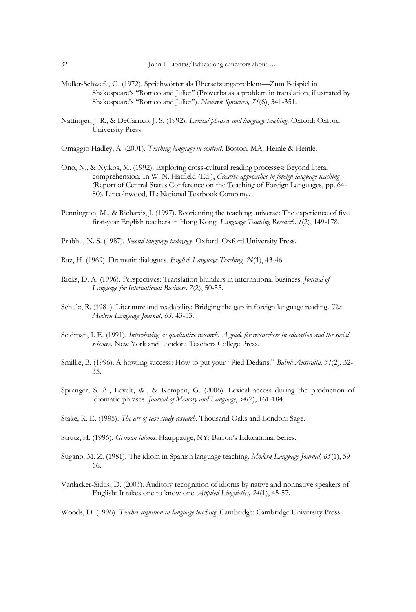- Muller-Schwefe, G. (1972). Sprichwörter als Übersetzungsproblem—Zum Beispiel in Shakespeare's "Romeo and Juliet" (Proverbs as a problem in translation, illustrated by Shakespeare's "Romeo and Juliet"). *Neueren Sprachen, 71*(6), 341-351.
- Nattinger, J. R., & DeCarrico, J. S. (1992). *Lexical phrases and language teaching*. Oxford: Oxford University Press.

Omaggio Hadley, A. (2001). *Teaching language in context*. Boston, MA: Heinle & Heinle.

- Ono, N., & Nyikos, M. (1992). Exploring cross-cultural reading processes: Beyond literal comprehension. In W. N. Hatfield (Ed.), *Creative approaches in foreign language teaching*  (Report of Central States Conference on the Teaching of Foreign Languages, pp. 64- 80). Lincolnwood, IL: National Textbook Company.
- Pennington, M., & Richards, J. (1997). Reorienting the teaching universe: The experience of five first-year English teachers in Hong Kong. *Language Teaching Research, 1*(2), 149-178.

Prabhu, N. S. (1987). *Second language pedagogy*. Oxford: Oxford University Press.

- Raz, H. (1969). Dramatic dialogues. *English Language Teaching, 24*(1), 43-46.
- Ricks, D. A. (1996). Perspectives: Translation blunders in international business. *Journal of Language for International Business, 7*(2), 50-55.
- Schulz, R. (1981). Literature and readability: Bridging the gap in foreign language reading. *The Modern Language Journal, 65*, 43-53.
- Seidman, I. E. (1991). *Interviewing as qualitative research: A guide for researchers in education and the social sciences*. New York and London: Teachers College Press.
- Smillie, B. (1996). A howling success: How to put your "Pied Dedans." *Babel: Australia, 31(2)*, 32-35.
- Sprenger, S. A., Levelt, W., & Kempen, G. (2006). Lexical access during the production of idiomatic phrases. *Journal of Memory and Language*, *54*(2), 161-184.
- Stake, R. E. (1995). *The art of case study research*. Thousand Oaks and London: Sage.
- Strutz, H. (1996). *German idioms*. Hauppauge, NY: Barron's Educational Series.
- Sugano, M. Z. (1981). The idiom in Spanish language teaching. *Modern Language Journal, 65*(1), 59- 66.
- Vanlacker-Sidtis, D. (2003). Auditory recognition of idioms by native and nonnative speakers of English: It takes one to know one. *Applied Linguistics, 24*(1), 45-57.

Woods, D. (1996). *Teacher cognition in language teaching*. Cambridge: Cambridge University Press.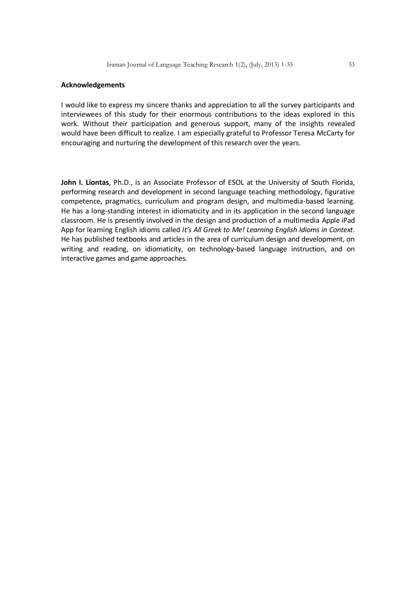#### **Acknowledgements**

I would like to express my sincere thanks and appreciation to all the survey participants and interviewees of this study for their enormous contributions to the ideas explored in this work. Without their participation and generous support, many of the insights revealed would have been difficult to realize. I am especially grateful to Professor Teresa McCarty for encouraging and nurturing the development of this research over the years.

**John I. Liontas**, Ph.D., is an Associate Professor of ESOL at the University of South Florida, performing research and development in second language teaching methodology, figurative competence, pragmatics, curriculum and program design, and multimedia-based learning. He has a long-standing interest in idiomaticity and in its application in the second language classroom. He is presently involved in the design and production of a multimedia Apple iPad App for learning English idioms called *It's All Greek to Me! Learning English Idioms in Context*. He has published textbooks and articles in the area of curriculum design and development, on writing and reading, on idiomaticity, on technology-based language instruction, and on interactive games and game approaches.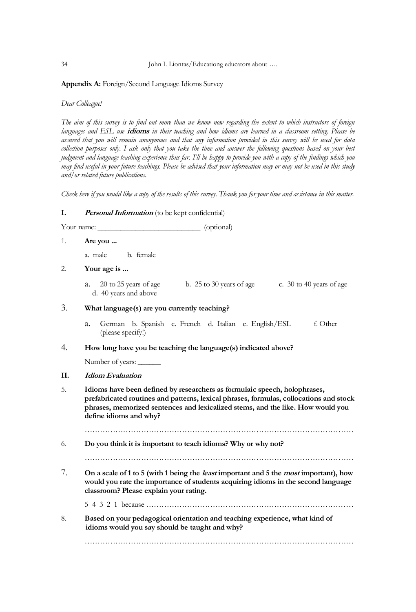**Appendix A:** Foreign/Second Language Idioms Survey

*Dear Colleague!*

*The aim of this survey is to find out more than we know now regarding the extent to which instructors of foreign languages and ESL use* **idioms** *in their teaching and how idioms are learned in a classroom setting. Please be assured that you will remain anonymous and that any information provided in this survey will be used for data collection purposes only. I ask only that you take the time and answer the following questions based on your best judgment and language teaching experience thus far. I'll be happy to provide you with a copy of the findings which you may find useful in your future teachings. Please be advised that your information may or may not be used in this study and/or related future publications.*

*Check here if you would like a copy of the results of this survey. Thank you for your time and assistance in this matter.*

# **I. Personal Information** (to be kept confidential)

Your name:  $(optional)$ 

1. **Are you ...**

a. male b. female

# 2. **Your age is ...**

a.  $20 \text{ to } 25 \text{ years of age}$  b.  $25 \text{ to } 30 \text{ years of age}$  c.  $30 \text{ to } 40 \text{ years of age}$ d. 40 years and above

# 3. **What language(s) are you currently teaching?**

a. German b. Spanish c. French d. Italian e. English/ESL f. Other (please specify!)

# 4. **How long have you be teaching the language(s) indicated above?**

Number of years:

# **II. Idiom Evaluation**

5. **Idioms have been defined by researchers as formulaic speech, holophrases, prefabricated routines and patterns, lexical phrases, formulas, collocations and stock phrases, memorized sentences and lexicalized stems, and the like. How would you define idioms and why?**

……………………………………………………………………………………………

6. **Do you think it is important to teach idioms? Why or why not?**

7. **On a scale of 1 to 5 (with 1 being the least important and 5 the most important), how would you rate the importance of students acquiring idioms in the second language classroom? Please explain your rating.**

5 4 3 2 1 because ………………………………………………………………………

8. **Based on your pedagogical orientation and teaching experience, what kind of idioms would you say should be taught and why?**